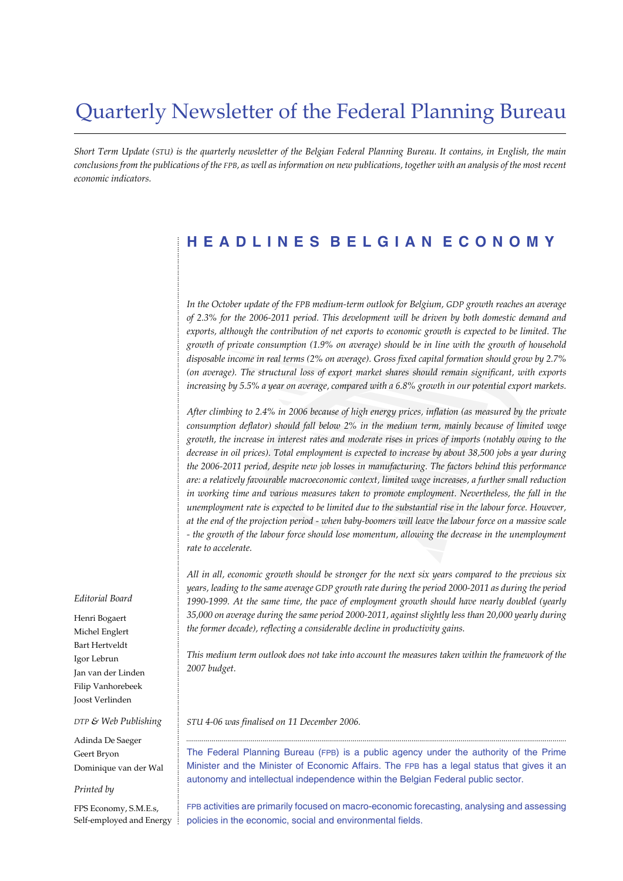# Quarterly Newsletter of the Federal Planning Bureau

*Short Term Update (STU) is the quarterly newsletter of the Belgian Federal Planning Bureau. It contains, in English, the main conclusions from the publications of the FPB, as well as information on new publications, together with an analysis of the most recent economic indicators.*

# **HEADLINES BELGIAN ECONOMY**

*In the October update of the FPB medium-term outlook for Belgium, GDP growth reaches an average of 2.3% for the 2006-2011 period. This development will be driven by both domestic demand and exports, although the contribution of net exports to economic growth is expected to be limited. The growth of private consumption (1.9% on average) should be in line with the growth of household disposable income in real terms (2% on average). Gross fixed capital formation should grow by 2.7% (on average). The structural loss of export market shares should remain significant, with exports increasing by 5.5% a year on average, compared with a 6.8% growth in our potential export markets.*

*After climbing to 2.4% in 2006 because of high energy prices, inflation (as measured by the private consumption deflator) should fall below 2% in the medium term, mainly because of limited wage growth, the increase in interest rates and moderate rises in prices of imports (notably owing to the decrease in oil prices). Total employment is expected to increase by about 38,500 jobs a year during the 2006-2011 period, despite new job losses in manufacturing. The factors behind this performance are: a relatively favourable macroeconomic context, limited wage increases, a further small reduction in working time and various measures taken to promote employment. Nevertheless, the fall in the unemployment rate is expected to be limited due to the substantial rise in the labour force. However, at the end of the projection period - when baby-boomers will leave the labour force on a massive scale - the growth of the labour force should lose momentum, allowing the decrease in the unemployment rate to accelerate.*

*All in all, economic growth should be stronger for the next six years compared to the previous six years, leading to the same average GDP growth rate during the period 2000-2011 as during the period 1990-1999. At the same time, the pace of employment growth should have nearly doubled (yearly 35,000 on average during the same period 2000-2011, against slightly less than 20,000 yearly during the former decade), reflecting a considerable decline in productivity gains.*

*This medium term outlook does not take into account the measures taken within the framework of the 2007 budget.*

*STU 4-06 was finalised on 11 December 2006.*

The Federal Planning Bureau (FPB) is a public agency under the authority of the Prime Minister and the Minister of Economic Affairs. The FPB has a legal status that gives it an autonomy and intellectual independence within the Belgian Federal public sector.

..................................................................................................................................................................................................

FPB activities are primarily focused on macro-economic forecasting, analysing and assessing policies in the economic, social and environmental fields.

#### *Editorial Board*

Henri Bogaert Michel Englert Bart Hertveldt Igor Lebrun Jan van der Linden Filip Vanhorebeek Joost Verlinden

#### *DTP & Web Publishing*

Adinda De Saeger Geert Bryon Dominique van der Wal

#### *Printed by*

FPS Economy, S.M.E.s, Self-employed and Energy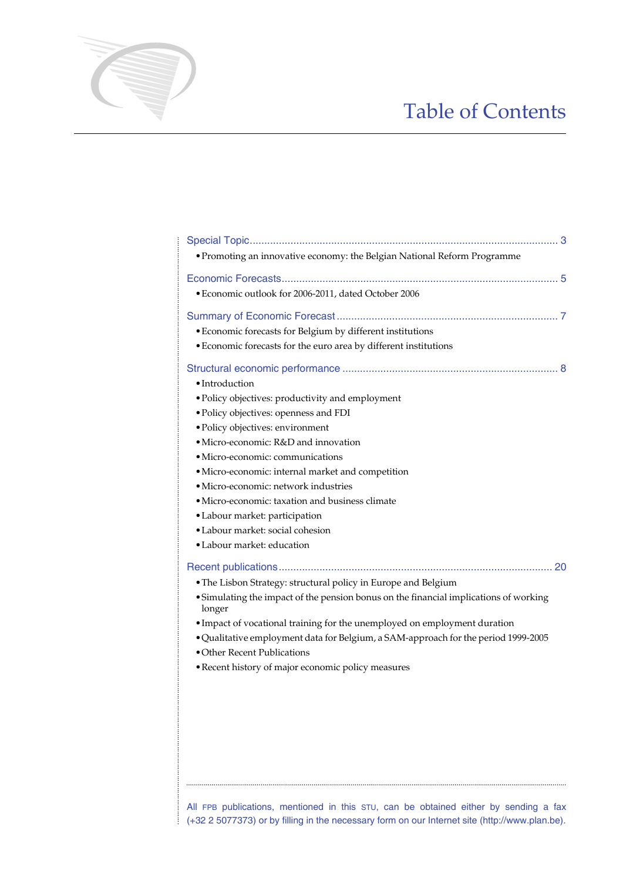# Table of Contents

| • Promoting an innovative economy: the Belgian National Reform Programme                        |  |
|-------------------------------------------------------------------------------------------------|--|
|                                                                                                 |  |
| · Economic outlook for 2006-2011, dated October 2006                                            |  |
|                                                                                                 |  |
| • Economic forecasts for Belgium by different institutions                                      |  |
| • Economic forecasts for the euro area by different institutions                                |  |
|                                                                                                 |  |
| • Introduction                                                                                  |  |
| · Policy objectives: productivity and employment                                                |  |
| · Policy objectives: openness and FDI                                                           |  |
| · Policy objectives: environment                                                                |  |
| • Micro-economic: R&D and innovation                                                            |  |
| · Micro-economic: communications                                                                |  |
| · Micro-economic: internal market and competition                                               |  |
| • Micro-economic: network industries                                                            |  |
| · Micro-economic: taxation and business climate                                                 |  |
| • Labour market: participation                                                                  |  |
| · Labour market: social cohesion                                                                |  |
| • Labour market: education                                                                      |  |
|                                                                                                 |  |
| • The Lisbon Strategy: structural policy in Europe and Belgium                                  |  |
| • Simulating the impact of the pension bonus on the financial implications of working<br>longer |  |
| · Impact of vocational training for the unemployed on employment duration                       |  |
| . Qualitative employment data for Belgium, a SAM-approach for the period 1999-2005              |  |
| • Other Recent Publications                                                                     |  |
| • Recent history of major economic policy measures                                              |  |
|                                                                                                 |  |
|                                                                                                 |  |
|                                                                                                 |  |
|                                                                                                 |  |
|                                                                                                 |  |
|                                                                                                 |  |
|                                                                                                 |  |
|                                                                                                 |  |

All FPB publications, mentioned in this STU, can be obtained either by sending a fax  $\frac{1}{2}$  (+32 2 5077373) or by filling in the necessary form on our Internet site (http://www.plan.be).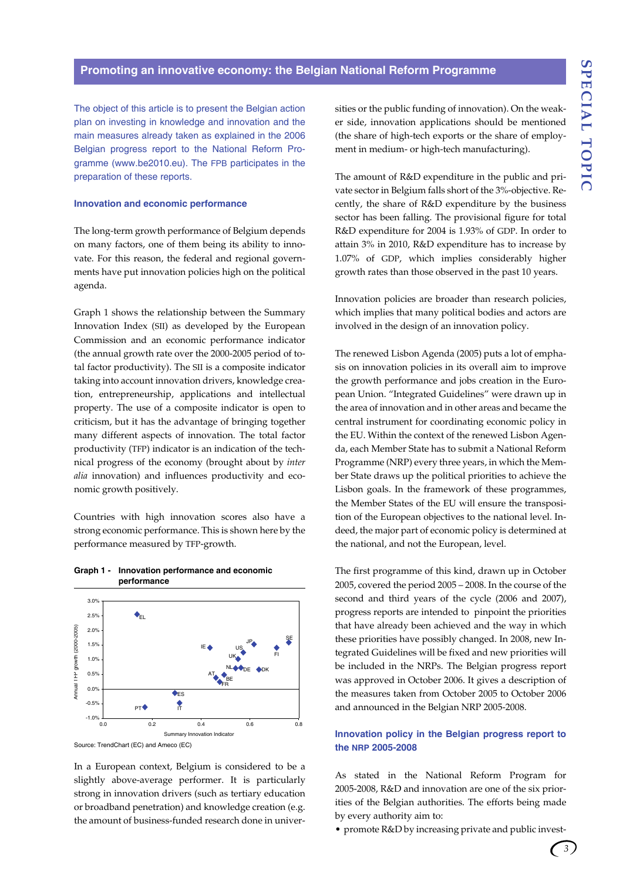#### **Promoting an innovative economy: the Belgian National Reform Programme**

The object of this article is to present the Belgian action plan on investing in knowledge and innovation and the main measures already taken as explained in the 2006 Belgian progress report to the National Reform Programme (www.be2010.eu). The FPB participates in the preparation of these reports.

#### **Innovation and economic performance**

The long-term growth performance of Belgium depends on many factors, one of them being its ability to innovate. For this reason, the federal and regional governments have put innovation policies high on the political agenda.

Graph 1 shows the relationship between the Summary Innovation Index (SII) as developed by the European Commission and an economic performance indicator (the annual growth rate over the 2000-2005 period of total factor productivity). The SII is a composite indicator taking into account innovation drivers, knowledge creation, entrepreneurship, applications and intellectual property. The use of a composite indicator is open to criticism, but it has the advantage of bringing together many different aspects of innovation. The total factor productivity (TFP) indicator is an indication of the technical progress of the economy (brought about by *inter alia* innovation) and influences productivity and economic growth positively.

Countries with high innovation scores also have a strong economic performance. This is shown here by the performance measured by TFP-growth.



#### **Graph 1 - Innovation performance and economic performance**

In a European context, Belgium is considered to be a slightly above-average performer. It is particularly strong in innovation drivers (such as tertiary education or broadband penetration) and knowledge creation (e.g. the amount of business-funded research done in universities or the public funding of innovation). On the weaker side, innovation applications should be mentioned (the share of high-tech exports or the share of employment in medium- or high-tech manufacturing).

The amount of R&D expenditure in the public and private sector in Belgium falls short of the 3%-objective. Recently, the share of R&D expenditure by the business sector has been falling. The provisional figure for total R&D expenditure for 2004 is 1.93% of GDP. In order to attain 3% in 2010, R&D expenditure has to increase by 1.07% of GDP, which implies considerably higher growth rates than those observed in the past 10 years.

Innovation policies are broader than research policies, which implies that many political bodies and actors are involved in the design of an innovation policy.

The renewed Lisbon Agenda (2005) puts a lot of emphasis on innovation policies in its overall aim to improve the growth performance and jobs creation in the European Union. "Integrated Guidelines" were drawn up in the area of innovation and in other areas and became the central instrument for coordinating economic policy in the EU. Within the context of the renewed Lisbon Agenda, each Member State has to submit a National Reform Programme (NRP) every three years, in which the Member State draws up the political priorities to achieve the Lisbon goals. In the framework of these programmes, the Member States of the EU will ensure the transposition of the European objectives to the national level. Indeed, the major part of economic policy is determined at the national, and not the European, level.

The first programme of this kind, drawn up in October 2005, covered the period 2005 – 2008. In the course of the second and third years of the cycle (2006 and 2007), progress reports are intended to pinpoint the priorities that have already been achieved and the way in which these priorities have possibly changed. In 2008, new Integrated Guidelines will be fixed and new priorities will be included in the NRPs. The Belgian progress report was approved in October 2006. It gives a description of the measures taken from October 2005 to October 2006 and announced in the Belgian NRP 2005-2008.

# **Innovation policy in the Belgian progress report to the NRP 2005-2008**

As stated in the National Reform Program for 2005-2008, R&D and innovation are one of the six priorities of the Belgian authorities. The efforts being made by every authority aim to:

• promote R&D by increasing private and public invest-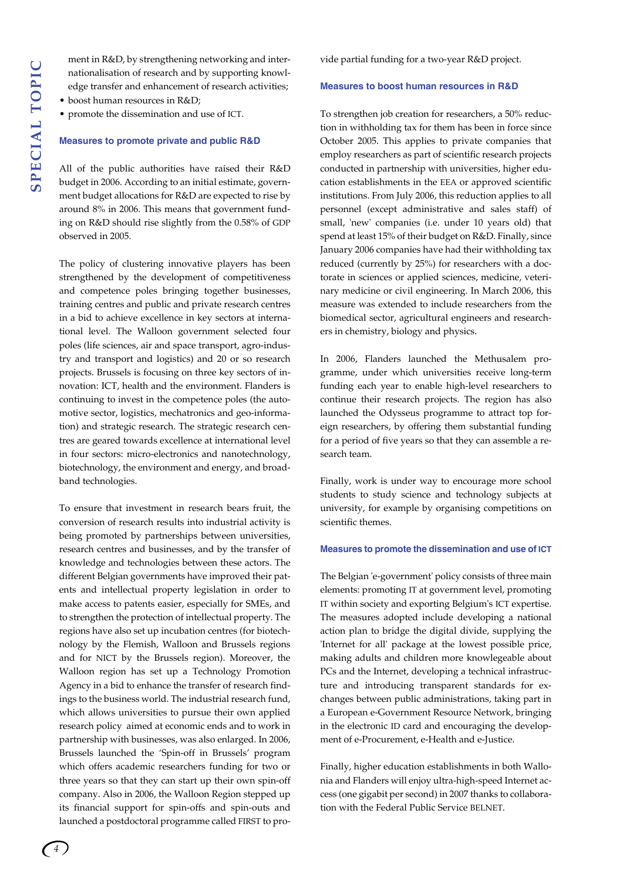ment in R&D, by strengthening networking and internationalisation of research and by supporting knowledge transfer and enhancement of research activities;

- boost human resources in R&D:
- promote the dissemination and use of ICT.

# **Measures to promote private and public R&D**

All of the public authorities have raised their R&D budget in 2006. According to an initial estimate, government budget allocations for R&D are expected to rise by around 8% in 2006. This means that government funding on R&D should rise slightly from the 0.58% of GDP observed in 2005.

The policy of clustering innovative players has been strengthened by the development of competitiveness and competence poles bringing together businesses, training centres and public and private research centres in a bid to achieve excellence in key sectors at international level. The Walloon government selected four poles (life sciences, air and space transport, agro-industry and transport and logistics) and 20 or so research projects. Brussels is focusing on three key sectors of innovation: ICT, health and the environment. Flanders is continuing to invest in the competence poles (the automotive sector, logistics, mechatronics and geo-information) and strategic research. The strategic research centres are geared towards excellence at international level in four sectors: micro-electronics and nanotechnology, biotechnology, the environment and energy, and broadband technologies.

To ensure that investment in research bears fruit, the conversion of research results into industrial activity is being promoted by partnerships between universities, research centres and businesses, and by the transfer of knowledge and technologies between these actors. The different Belgian governments have improved their patents and intellectual property legislation in order to make access to patents easier, especially for SMEs, and to strengthen the protection of intellectual property. The regions have also set up incubation centres (for biotechnology by the Flemish, Walloon and Brussels regions and for NICT by the Brussels region). Moreover, the Walloon region has set up a Technology Promotion Agency in a bid to enhance the transfer of research findings to the business world. The industrial research fund, which allows universities to pursue their own applied research policy aimed at economic ends and to work in partnership with businesses, was also enlarged. In 2006, Brussels launched the 'Spin-off in Brussels' program which offers academic researchers funding for two or three years so that they can start up their own spin-off company. Also in 2006, the Walloon Region stepped up its financial support for spin-offs and spin-outs and launched a postdoctoral programme called FIRST to provide partial funding for a two-year R&D project.

## **Measures to boost human resources in R&D**

To strengthen job creation for researchers, a 50% reduction in withholding tax for them has been in force since October 2005. This applies to private companies that employ researchers as part of scientific research projects conducted in partnership with universities, higher education establishments in the EEA or approved scientific institutions. From July 2006, this reduction applies to all personnel (except administrative and sales staff) of small, 'new' companies (i.e. under 10 years old) that spend at least 15% of their budget on R&D. Finally, since January 2006 companies have had their withholding tax reduced (currently by 25%) for researchers with a doctorate in sciences or applied sciences, medicine, veterinary medicine or civil engineering. In March 2006, this measure was extended to include researchers from the biomedical sector, agricultural engineers and researchers in chemistry, biology and physics.

In 2006, Flanders launched the Methusalem programme, under which universities receive long-term funding each year to enable high-level researchers to continue their research projects. The region has also launched the Odysseus programme to attract top foreign researchers, by offering them substantial funding for a period of five years so that they can assemble a research team.

Finally, work is under way to encourage more school students to study science and technology subjects at university, for example by organising competitions on scientific themes.

#### **Measures to promote the dissemination and use of ICT**

The Belgian 'e-government' policy consists of three main elements: promoting IT at government level, promoting IT within society and exporting Belgium's ICT expertise. The measures adopted include developing a national action plan to bridge the digital divide, supplying the 'Internet for all' package at the lowest possible price, making adults and children more knowlegeable about PCs and the Internet, developing a technical infrastructure and introducing transparent standards for exchanges between public administrations, taking part in a European e-Government Resource Network, bringing in the electronic ID card and encouraging the development of e-Procurement, e-Health and e-Justice.

Finally, higher education establishments in both Wallonia and Flanders will enjoy ultra-high-speed Internet access (one gigabit per second) in 2007 thanks to collaboration with the Federal Public Service BELNET.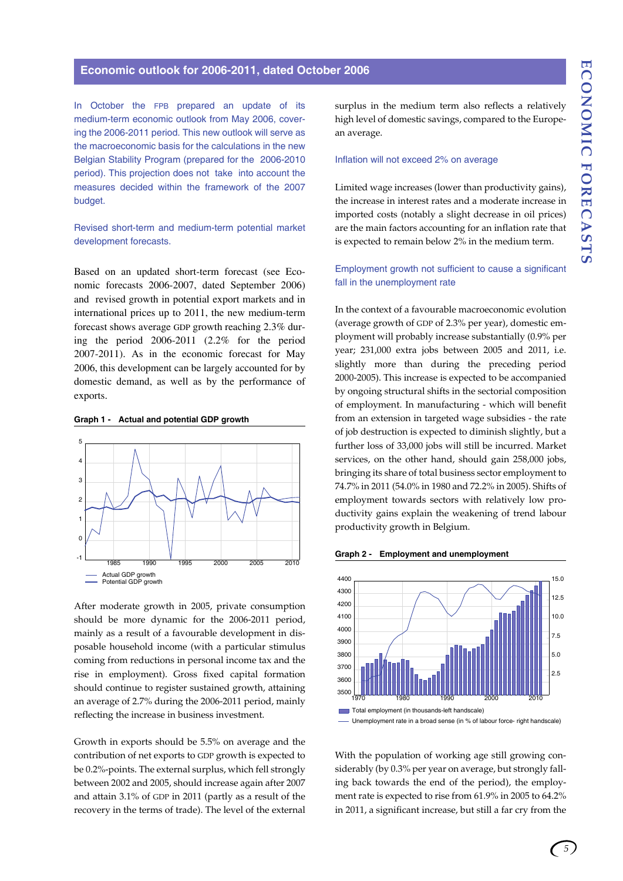## **Economic outlook for 2006-2011, dated October 2006**

In October the FPB prepared an update of its medium-term economic outlook from May 2006, covering the 2006-2011 period. This new outlook will serve as the macroeconomic basis for the calculations in the new Belgian Stability Program (prepared for the 2006-2010 period). This projection does not take into account the measures decided within the framework of the 2007 budget.

# Revised short-term and medium-term potential market development forecasts.

Based on an updated short-term forecast (see Economic forecasts 2006-2007, dated September 2006) and revised growth in potential export markets and in international prices up to 2011, the new medium-term forecast shows average GDP growth reaching 2.3% during the period 2006-2011 (2.2% for the period 2007-2011). As in the economic forecast for May 2006, this development can be largely accounted for by domestic demand, as well as by the performance of exports.

### **Graph 1 - Actual and potential GDP growth**



After moderate growth in 2005, private consumption should be more dynamic for the 2006-2011 period, mainly as a result of a favourable development in disposable household income (with a particular stimulus coming from reductions in personal income tax and the rise in employment). Gross fixed capital formation should continue to register sustained growth, attaining an average of 2.7% during the 2006-2011 period, mainly reflecting the increase in business investment.

Growth in exports should be 5.5% on average and the contribution of net exports to GDP growth is expected to be 0.2%-points. The external surplus, which fell strongly between 2002 and 2005, should increase again after 2007 and attain 3.1% of GDP in 2011 (partly as a result of the recovery in the terms of trade). The level of the external surplus in the medium term also reflects a relatively high level of domestic savings, compared to the European average.

#### Inflation will not exceed 2% on average

Limited wage increases (lower than productivity gains), the increase in interest rates and a moderate increase in imported costs (notably a slight decrease in oil prices) are the main factors accounting for an inflation rate that is expected to remain below 2% in the medium term.

# Employment growth not sufficient to cause a significant fall in the unemployment rate

In the context of a favourable macroeconomic evolution (average growth of GDP of 2.3% per year), domestic employment will probably increase substantially (0.9% per year; 231,000 extra jobs between 2005 and 2011, i.e. slightly more than during the preceding period 2000-2005). This increase is expected to be accompanied by ongoing structural shifts in the sectorial composition of employment. In manufacturing - which will benefit from an extension in targeted wage subsidies - the rate of job destruction is expected to diminish slightly, but a further loss of 33,000 jobs will still be incurred. Market services, on the other hand, should gain 258,000 jobs, bringing its share of total business sector employment to 74.7% in 2011 (54.0% in 1980 and 72.2% in 2005). Shifts of employment towards sectors with relatively low productivity gains explain the weakening of trend labour productivity growth in Belgium.

#### **Graph 2 - Employment and unemployment**



With the population of working age still growing considerably (by 0.3% per year on average, but strongly falling back towards the end of the period), the employment rate is expected to rise from 61.9% in 2005 to 64.2% in 2011, a significant increase, but still a far cry from the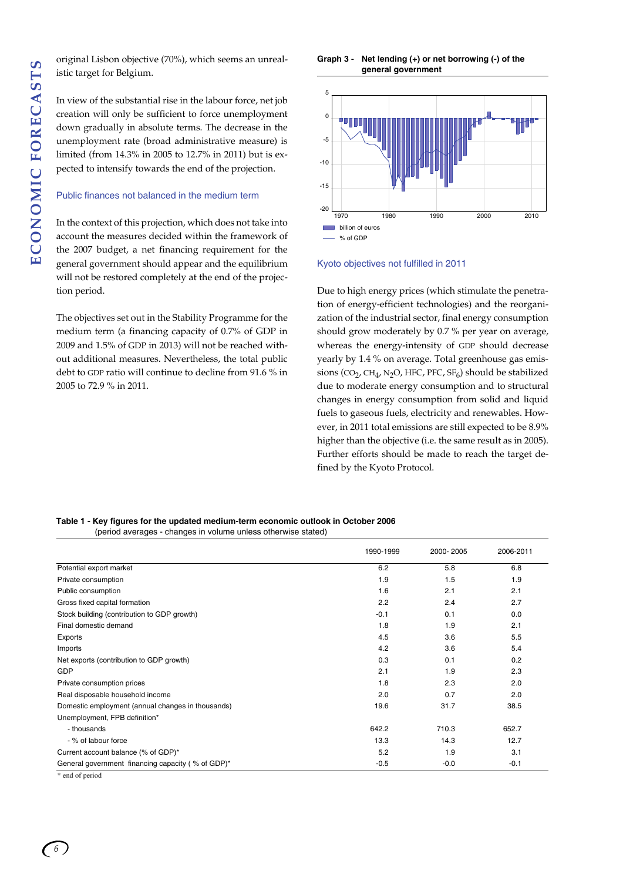original Lisbon objective (70%), which seems an unrealistic target for Belgium.

In view of the substantial rise in the labour force, net job creation will only be sufficient to force unemployment down gradually in absolute terms. The decrease in the unemployment rate (broad administrative measure) is limited (from 14.3% in 2005 to 12.7% in 2011) but is expected to intensify towards the end of the projection.

#### Public finances not balanced in the medium term

In the context of this projection, which does not take into account the measures decided within the framework of the 2007 budget, a net financing requirement for the general government should appear and the equilibrium will not be restored completely at the end of the projection period.

The objectives set out in the Stability Programme for the medium term (a financing capacity of 0.7% of GDP in 2009 and 1.5% of GDP in 2013) will not be reached without additional measures. Nevertheless, the total public debt to GDP ratio will continue to decline from 91.6 % in 2005 to 72.9 % in 2011.

**Graph 3 - Net lending (+) or net borrowing (-) of the general government**



Kyoto objectives not fulfilled in 2011

Due to high energy prices (which stimulate the penetration of energy-efficient technologies) and the reorganization of the industrial sector, final energy consumption should grow moderately by 0.7 % per year on average, whereas the energy-intensity of GDP should decrease yearly by 1.4 % on average. Total greenhouse gas emissions (CO<sub>2</sub>, CH<sub>4</sub>, N<sub>2</sub>O, HFC, PFC, SF<sub>6</sub>) should be stabilized due to moderate energy consumption and to structural changes in energy consumption from solid and liquid fuels to gaseous fuels, electricity and renewables. However, in 2011 total emissions are still expected to be 8.9% higher than the objective (i.e. the same result as in 2005). Further efforts should be made to reach the target defined by the Kyoto Protocol.

**Table 1 - Key figures for the updated medium-term economic outlook in October 2006**  (period averages - changes in volume unless otherwise stated)

|                                                   | 1990-1999 | 2000-2005 | 2006-2011 |
|---------------------------------------------------|-----------|-----------|-----------|
| Potential export market                           | 6.2       | 5.8       | 6.8       |
| Private consumption                               | 1.9       | 1.5       | 1.9       |
| Public consumption                                | 1.6       | 2.1       | 2.1       |
| Gross fixed capital formation                     | 2.2       | 2.4       | 2.7       |
| Stock building (contribution to GDP growth)       | $-0.1$    | 0.1       | 0.0       |
| Final domestic demand                             | 1.8       | 1.9       | 2.1       |
| Exports                                           | 4.5       | 3.6       | 5.5       |
| Imports                                           | 4.2       | 3.6       | 5.4       |
| Net exports (contribution to GDP growth)          | 0.3       | 0.1       | 0.2       |
| GDP                                               | 2.1       | 1.9       | 2.3       |
| Private consumption prices                        | 1.8       | 2.3       | 2.0       |
| Real disposable household income                  | 2.0       | 0.7       | 2.0       |
| Domestic employment (annual changes in thousands) | 19.6      | 31.7      | 38.5      |
| Unemployment, FPB definition*                     |           |           |           |
| - thousands                                       | 642.2     | 710.3     | 652.7     |
| - % of labour force                               | 13.3      | 14.3      | 12.7      |
| Current account balance (% of GDP)*               | 5.2       | 1.9       | 3.1       |
| General government financing capacity (% of GDP)* | $-0.5$    | $-0.0$    | $-0.1$    |
| * end of period                                   |           |           |           |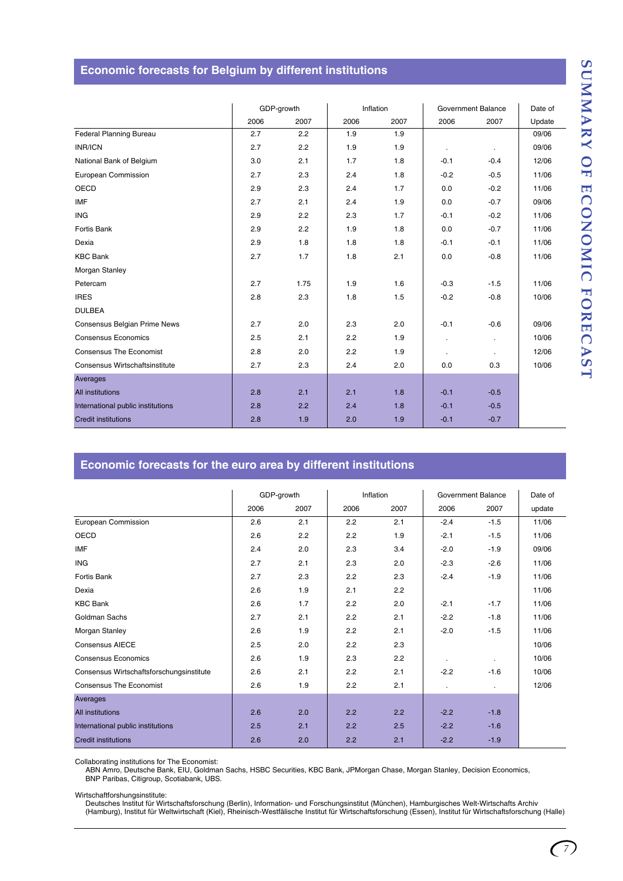# **Economic forecasts for Belgium by different institutions**

|                                   | GDP-growth |      | Inflation |      | Government Balance   |                | Date of |
|-----------------------------------|------------|------|-----------|------|----------------------|----------------|---------|
|                                   | 2006       | 2007 | 2006      | 2007 | 2006                 | 2007           | Update  |
| Federal Planning Bureau           | 2.7        | 2.2  | 1.9       | 1.9  |                      |                | 09/06   |
| <b>INR/ICN</b>                    | 2.7        | 2.2  | 1.9       | 1.9  | $\ddot{\phantom{a}}$ |                | 09/06   |
| National Bank of Belgium          | 3.0        | 2.1  | 1.7       | 1.8  | $-0.1$               | $-0.4$         | 12/06   |
| European Commission               | 2.7        | 2.3  | 2.4       | 1.8  | $-0.2$               | $-0.5$         | 11/06   |
| <b>OECD</b>                       | 2.9        | 2.3  | 2.4       | 1.7  | 0.0                  | $-0.2$         | 11/06   |
| <b>IMF</b>                        | 2.7        | 2.1  | 2.4       | 1.9  | 0.0                  | $-0.7$         | 09/06   |
| <b>ING</b>                        | 2.9        | 2.2  | 2.3       | 1.7  | $-0.1$               | $-0.2$         | 11/06   |
| Fortis Bank                       | 2.9        | 2.2  | 1.9       | 1.8  | 0.0                  | $-0.7$         | 11/06   |
| Dexia                             | 2.9        | 1.8  | 1.8       | 1.8  | $-0.1$               | $-0.1$         | 11/06   |
| <b>KBC Bank</b>                   | 2.7        | 1.7  | 1.8       | 2.1  | 0.0                  | $-0.8$         | 11/06   |
| Morgan Stanley                    |            |      |           |      |                      |                |         |
| Petercam                          | 2.7        | 1.75 | 1.9       | 1.6  | $-0.3$               | $-1.5$         | 11/06   |
| <b>IRES</b>                       | 2.8        | 2.3  | 1.8       | 1.5  | $-0.2$               | $-0.8$         | 10/06   |
| <b>DULBEA</b>                     |            |      |           |      |                      |                |         |
| Consensus Belgian Prime News      | 2.7        | 2.0  | 2.3       | 2.0  | $-0.1$               | $-0.6$         | 09/06   |
| <b>Consensus Economics</b>        | 2.5        | 2.1  | 2.2       | 1.9  | ä,                   |                | 10/06   |
| <b>Consensus The Economist</b>    | 2.8        | 2.0  | 2.2       | 1.9  | $\blacksquare$       | $\blacksquare$ | 12/06   |
| Consensus Wirtschaftsinstitute    | 2.7        | 2.3  | 2.4       | 2.0  | 0.0                  | 0.3            | 10/06   |
| Averages                          |            |      |           |      |                      |                |         |
| <b>All institutions</b>           | 2.8        | 2.1  | 2.1       | 1.8  | $-0.1$               | $-0.5$         |         |
| International public institutions | 2.8        | 2.2  | 2.4       | 1.8  | $-0.1$               | $-0.5$         |         |
| <b>Credit institutions</b>        | 2.8        | 1.9  | 2.0       | 1.9  | $-0.1$               | $-0.7$         |         |

# **Economic forecasts for the euro area by different institutions**

|                                          | GDP-growth<br>Inflation |      | Government Balance |      | Date of   |                |        |
|------------------------------------------|-------------------------|------|--------------------|------|-----------|----------------|--------|
|                                          |                         |      |                    |      |           |                |        |
|                                          | 2006                    | 2007 | 2006               | 2007 | 2006      | 2007           | update |
| European Commission                      | 2.6                     | 2.1  | 2.2                | 2.1  | $-2.4$    | $-1.5$         | 11/06  |
| <b>OECD</b>                              | 2.6                     | 2.2  | 2.2                | 1.9  | $-2.1$    | $-1.5$         | 11/06  |
| <b>IMF</b>                               | 2.4                     | 2.0  | 2.3                | 3.4  | $-2.0$    | $-1.9$         | 09/06  |
| <b>ING</b>                               | 2.7                     | 2.1  | 2.3                | 2.0  | $-2.3$    | $-2.6$         | 11/06  |
| Fortis Bank                              | 2.7                     | 2.3  | 2.2                | 2.3  | $-2.4$    | $-1.9$         | 11/06  |
| Dexia                                    | 2.6                     | 1.9  | 2.1                | 2.2  |           |                | 11/06  |
| <b>KBC Bank</b>                          | 2.6                     | 1.7  | 2.2                | 2.0  | $-2.1$    | $-1.7$         | 11/06  |
| Goldman Sachs                            | 2.7                     | 2.1  | 2.2                | 2.1  | $-2.2$    | $-1.8$         | 11/06  |
| Morgan Stanley                           | 2.6                     | 1.9  | 2.2                | 2.1  | $-2.0$    | $-1.5$         | 11/06  |
| <b>Consensus AIECE</b>                   | 2.5                     | 2.0  | 2.2                | 2.3  |           |                | 10/06  |
| <b>Consensus Economics</b>               | 2.6                     | 1.9  | 2.3                | 2.2  | $\bullet$ |                | 10/06  |
| Consensus Wirtschaftsforschungsinstitute | 2.6                     | 2.1  | 2.2                | 2.1  | $-2.2$    | $-1.6$         | 10/06  |
| <b>Consensus The Economist</b>           | 2.6                     | 1.9  | 2.2                | 2.1  |           | $\blacksquare$ | 12/06  |
| Averages                                 |                         |      |                    |      |           |                |        |
| <b>All institutions</b>                  | 2.6                     | 2.0  | 2.2                | 2.2  | $-2.2$    | $-1.8$         |        |
| International public institutions        | 2.5                     | 2.1  | 2.2                | 2.5  | $-2.2$    | $-1.6$         |        |
| <b>Credit institutions</b>               | 2.6                     | 2.0  | 2.2                | 2.1  | $-2.2$    | $-1.9$         |        |

Collaborating institutions for The Economist:

ABN Amro, Deutsche Bank, EIU, Goldman Sachs, HSBC Securities, KBC Bank, JPMorgan Chase, Morgan Stanley, Decision Economics, BNP Paribas, Citigroup, Scotiabank, UBS.

Wirtschaftforshungsinstitute:

Deutsches Institut für Wirtschaftsforschung (Berlin), Information- und Forschungsinstitut (München), Hamburgisches Welt-Wirtschafts Archiv<br>(Hamburg), Institut für Weltwirtschaft (Kiel), Rheinisch-Westfälische Institut für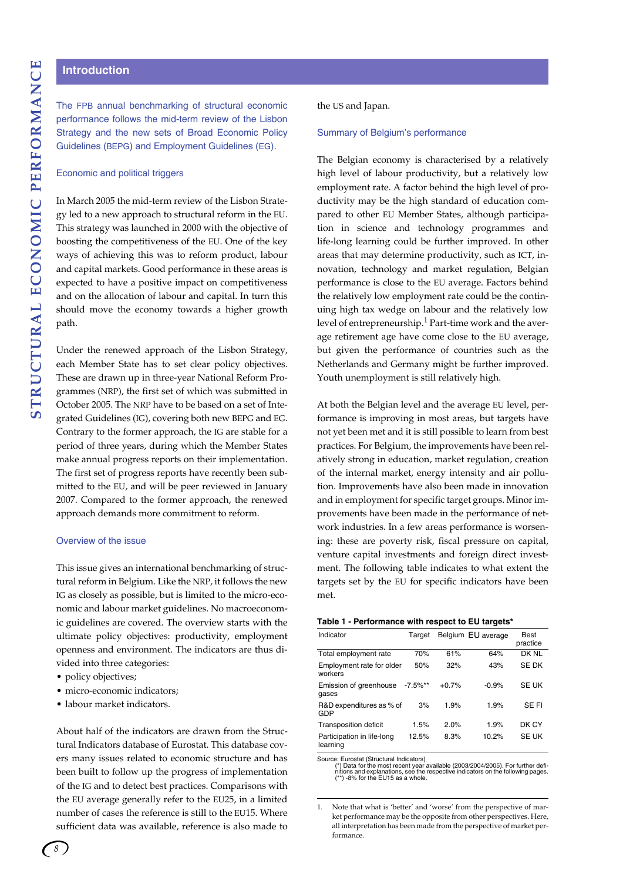# **Introduction**

The FPB annual benchmarking of structural economic performance follows the mid-term review of the Lisbon Strategy and the new sets of Broad Economic Policy Guidelines (BEPG) and Employment Guidelines (EG).

#### Economic and political triggers

In March 2005 the mid-term review of the Lisbon Strategy led to a new approach to structural reform in the EU. This strategy was launched in 2000 with the objective of boosting the competitiveness of the EU. One of the key ways of achieving this was to reform product, labour and capital markets. Good performance in these areas is expected to have a positive impact on competitiveness and on the allocation of labour and capital. In turn this should move the economy towards a higher growth path.

Under the renewed approach of the Lisbon Strategy, each Member State has to set clear policy objectives. These are drawn up in three-year National Reform Programmes (NRP), the first set of which was submitted in October 2005. The NRP have to be based on a set of Integrated Guidelines (IG), covering both new BEPG and EG. Contrary to the former approach, the IG are stable for a period of three years, during which the Member States make annual progress reports on their implementation. The first set of progress reports have recently been submitted to the EU, and will be peer reviewed in January 2007. Compared to the former approach, the renewed approach demands more commitment to reform.

#### Overview of the issue

This issue gives an international benchmarking of structural reform in Belgium. Like the NRP, it follows the new IG as closely as possible, but is limited to the micro-economic and labour market guidelines. No macroeconomic guidelines are covered. The overview starts with the ultimate policy objectives: productivity, employment openness and environment. The indicators are thus divided into three categories:

- policy objectives;
- micro-economic indicators;
- labour market indicators.

About half of the indicators are drawn from the Structural Indicators database of Eurostat. This database covers many issues related to economic structure and has been built to follow up the progress of implementation of the IG and to detect best practices. Comparisons with the EU average generally refer to the EU25, in a limited number of cases the reference is still to the EU15. Where sufficient data was available, reference is also made to

#### the US and Japan.

#### Summary of Belgium's performance

The Belgian economy is characterised by a relatively high level of labour productivity, but a relatively low employment rate. A factor behind the high level of productivity may be the high standard of education compared to other EU Member States, although participation in science and technology programmes and life-long learning could be further improved. In other areas that may determine productivity, such as ICT, innovation, technology and market regulation, Belgian performance is close to the EU average. Factors behind the relatively low employment rate could be the continuing high tax wedge on labour and the relatively low level of entrepreneurship.<sup>1</sup> Part-time work and the average retirement age have come close to the EU average, but given the performance of countries such as the Netherlands and Germany might be further improved. Youth unemployment is still relatively high.

At both the Belgian level and the average EU level, performance is improving in most areas, but targets have not yet been met and it is still possible to learn from best practices. For Belgium, the improvements have been relatively strong in education, market regulation, creation of the internal market, energy intensity and air pollution. Improvements have also been made in innovation and in employment for specific target groups. Minor improvements have been made in the performance of network industries. In a few areas performance is worsening: these are poverty risk, fiscal pressure on capital, venture capital investments and foreign direct investment. The following table indicates to what extent the targets set by the EU for specific indicators have been met.

#### **Table 1 - Performance with respect to EU targets\***

| Indicator                              | Target      |         | Belgium EU average | Best<br>practice |
|----------------------------------------|-------------|---------|--------------------|------------------|
| Total employment rate                  | 70%         | 61%     | 64%                | DK NL            |
| Employment rate for older<br>workers   | 50%         | 32%     | 43%                | SE DK            |
| Emission of greenhouse<br>gases        | $-7.5\%$ ** | $+0.7%$ | $-0.9%$            | <b>SE UK</b>     |
| R&D expenditures as % of<br>GDP        | 3%          | 1.9%    | 1.9%               | SE FI            |
| Transposition deficit                  | 1.5%        | 2.0%    | 1.9%               | DK CY            |
| Participation in life-long<br>learning | 12.5%       | 8.3%    | 10.2%              | <b>SE UK</b>     |

Source: Eurostat (Structural Indicators)<br>
(\*) Data for the most recent year available (2003/2004/2005). For further defi-<br>
nitions and explanations, see the respective indicators on the following pages.<br>
(\*\*) -8% for the E

Note that what is 'better' and 'worse' from the perspective of market performance may be the opposite from other perspectives. Here, all interpretation has been made from the perspective of market performance.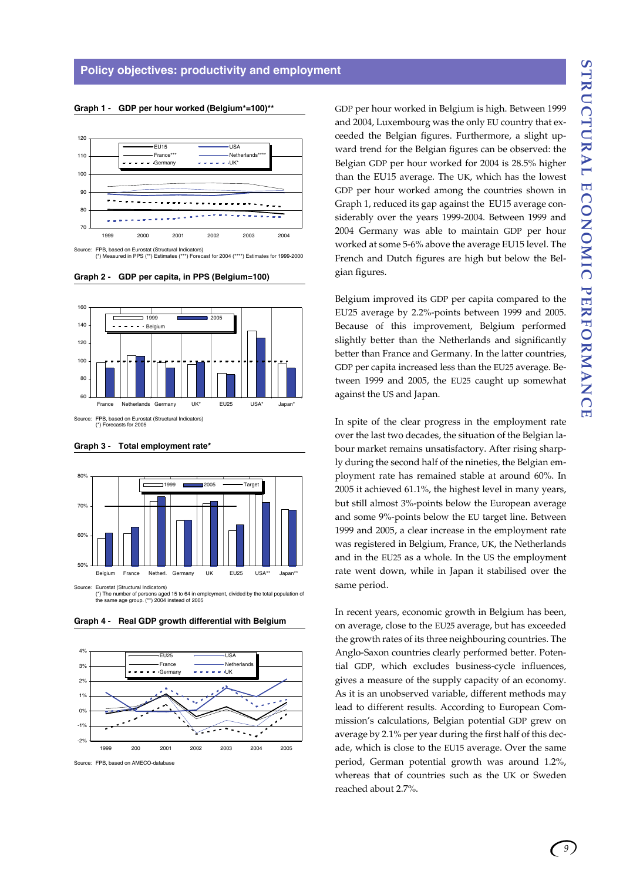#### **Graph 1 - GDP per hour worked (Belgium\*=100)\*\***



(\*) Measured in PPS (\*\*) Estimates (\*\*\*) Forecast for 2004 (\*\*\*\*) Estimates for 1999-2000

**Graph 2 - GDP per capita, in PPS (Belgium=100)**







Source: Eurostat (Structural Indicators) (\*) The number of persons aged 15 to 64 in employment, divided by the total population of the same age group. (\*\*) 2004 instead of 2005



**Graph 4 - Real GDP growth differential with Belgium**

Source: FPB, based on AMECO-database

GDP per hour worked in Belgium is high. Between 1999 and 2004, Luxembourg was the only EU country that exceeded the Belgian figures. Furthermore, a slight upward trend for the Belgian figures can be observed: the Belgian GDP per hour worked for 2004 is 28.5% higher than the EU15 average. The UK, which has the lowest GDP per hour worked among the countries shown in Graph 1, reduced its gap against the EU15 average considerably over the years 1999-2004. Between 1999 and 2004 Germany was able to maintain GDP per hour worked at some 5-6% above the average EU15 level. The French and Dutch figures are high but below the Belgian figures.

Belgium improved its GDP per capita compared to the EU25 average by 2.2%-points between 1999 and 2005. Because of this improvement, Belgium performed slightly better than the Netherlands and significantly better than France and Germany. In the latter countries, GDP per capita increased less than the EU25 average. Between 1999 and 2005, the EU25 caught up somewhat against the US and Japan.

In spite of the clear progress in the employment rate over the last two decades, the situation of the Belgian labour market remains unsatisfactory. After rising sharply during the second half of the nineties, the Belgian employment rate has remained stable at around 60%. In 2005 it achieved 61.1%, the highest level in many years, but still almost 3%-points below the European average and some 9%-points below the EU target line. Between 1999 and 2005, a clear increase in the employment rate was registered in Belgium, France, UK, the Netherlands and in the EU25 as a whole. In the US the employment rate went down, while in Japan it stabilised over the same period.

In recent years, economic growth in Belgium has been, on average, close to the EU25 average, but has exceeded the growth rates of its three neighbouring countries. The Anglo-Saxon countries clearly performed better. Potential GDP, which excludes business-cycle influences, gives a measure of the supply capacity of an economy. As it is an unobserved variable, different methods may lead to different results. According to European Commission's calculations, Belgian potential GDP grew on average by 2.1% per year during the first half of this decade, which is close to the EU15 average. Over the same period, German potential growth was around 1.2%, whereas that of countries such as the UK or Sweden reached about 2.7%.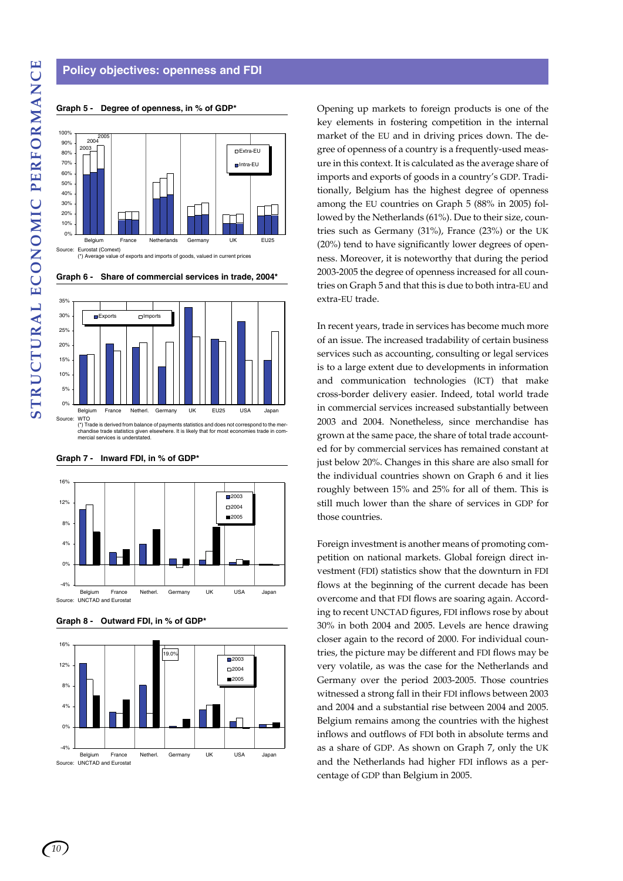# **Policy objectives: openness and FDI**



#### **Graph 5 - Degree of openness, in % of GDP\***





(\*) Trade is derived from balance of payments statistics and does not correspond to the mer-chandise trade statistics given elsewhere. It is likely that for most economies trade in commade is derived from balance<br>indise trade statistics given e<br>rcial services is understated.



#### **Graph 7 - Inward FDI, in % of GDP\***

**Graph 8 - Outward FDI, in % of GDP\***



Opening up markets to foreign products is one of the key elements in fostering competition in the internal market of the EU and in driving prices down. The degree of openness of a country is a frequently-used measure in this context. It is calculated as the average share of imports and exports of goods in a country's GDP. Traditionally, Belgium has the highest degree of openness among the EU countries on Graph 5 (88% in 2005) followed by the Netherlands (61%). Due to their size, countries such as Germany (31%), France (23%) or the UK (20%) tend to have significantly lower degrees of openness. Moreover, it is noteworthy that during the period 2003-2005 the degree of openness increased for all countries on Graph 5 and that this is due to both intra-EU and extra-EU trade.

In recent years, trade in services has become much more of an issue. The increased tradability of certain business services such as accounting, consulting or legal services is to a large extent due to developments in information and communication technologies (ICT) that make cross-border delivery easier. Indeed, total world trade in commercial services increased substantially between 2003 and 2004. Nonetheless, since merchandise has grown at the same pace, the share of total trade accounted for by commercial services has remained constant at just below 20%. Changes in this share are also small for the individual countries shown on Graph 6 and it lies roughly between 15% and 25% for all of them. This is still much lower than the share of services in GDP for those countries.

Foreign investment is another means of promoting competition on national markets. Global foreign direct investment (FDI) statistics show that the downturn in FDI flows at the beginning of the current decade has been overcome and that FDI flows are soaring again. According to recent UNCTAD figures, FDI inflows rose by about 30% in both 2004 and 2005. Levels are hence drawing closer again to the record of 2000. For individual countries, the picture may be different and FDI flows may be very volatile, as was the case for the Netherlands and Germany over the period 2003-2005. Those countries witnessed a strong fall in their FDI inflows between 2003 and 2004 and a substantial rise between 2004 and 2005. Belgium remains among the countries with the highest inflows and outflows of FDI both in absolute terms and as a share of GDP. As shown on Graph 7, only the UK and the Netherlands had higher FDI inflows as a percentage of GDP than Belgium in 2005.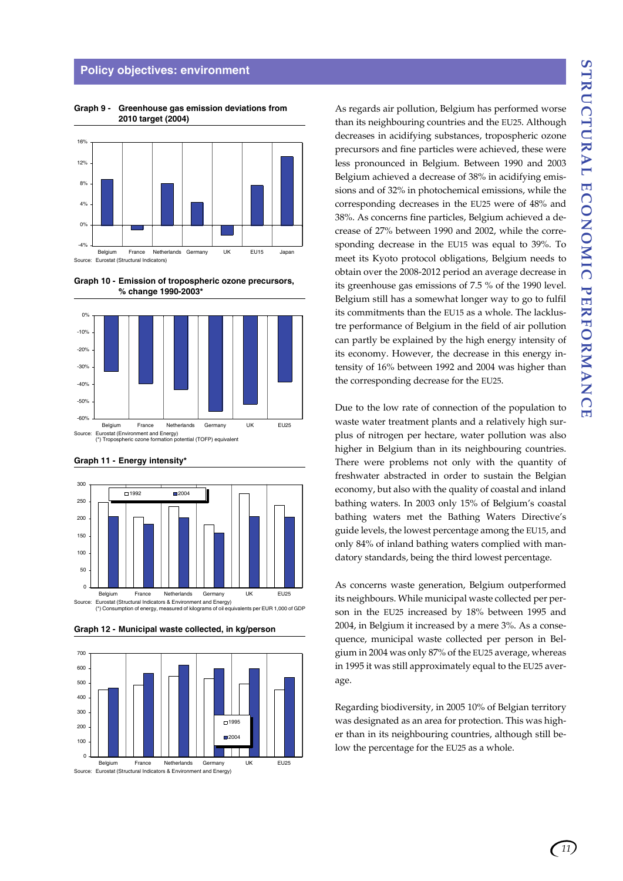#### **Policy objectives: environment**



**Graph 9 - Greenhouse gas emission deviations from 2010 target (2004)**

**Graph 10 - Emission of tropospheric ozone precursors, % change 1990-2003\***







**Graph 12 - Municipal waste collected, in kg/person**



Source: Eurostat (Structural Indicators & Environment and Energy)

As regards air pollution, Belgium has performed worse than its neighbouring countries and the EU25. Although decreases in acidifying substances, tropospheric ozone precursors and fine particles were achieved, these were less pronounced in Belgium. Between 1990 and 2003 Belgium achieved a decrease of 38% in acidifying emissions and of 32% in photochemical emissions, while the corresponding decreases in the EU25 were of 48% and 38%. As concerns fine particles, Belgium achieved a decrease of 27% between 1990 and 2002, while the corresponding decrease in the EU15 was equal to 39%. To meet its Kyoto protocol obligations, Belgium needs to obtain over the 2008-2012 period an average decrease in its greenhouse gas emissions of 7.5 % of the 1990 level. Belgium still has a somewhat longer way to go to fulfil its commitments than the EU15 as a whole. The lacklustre performance of Belgium in the field of air pollution can partly be explained by the high energy intensity of its economy. However, the decrease in this energy intensity of 16% between 1992 and 2004 was higher than the corresponding decrease for the EU25.

Due to the low rate of connection of the population to waste water treatment plants and a relatively high surplus of nitrogen per hectare, water pollution was also higher in Belgium than in its neighbouring countries. There were problems not only with the quantity of freshwater abstracted in order to sustain the Belgian economy, but also with the quality of coastal and inland bathing waters. In 2003 only 15% of Belgium's coastal bathing waters met the Bathing Waters Directive's guide levels, the lowest percentage among the EU15, and only 84% of inland bathing waters complied with mandatory standards, being the third lowest percentage.

As concerns waste generation, Belgium outperformed its neighbours. While municipal waste collected per person in the EU25 increased by 18% between 1995 and 2004, in Belgium it increased by a mere 3%. As a consequence, municipal waste collected per person in Belgium in 2004 was only 87% of the EU25 average, whereas in 1995 it was still approximately equal to the EU25 average.

Regarding biodiversity, in 2005 10% of Belgian territory was designated as an area for protection. This was higher than in its neighbouring countries, although still below the percentage for the EU25 as a whole.

*11*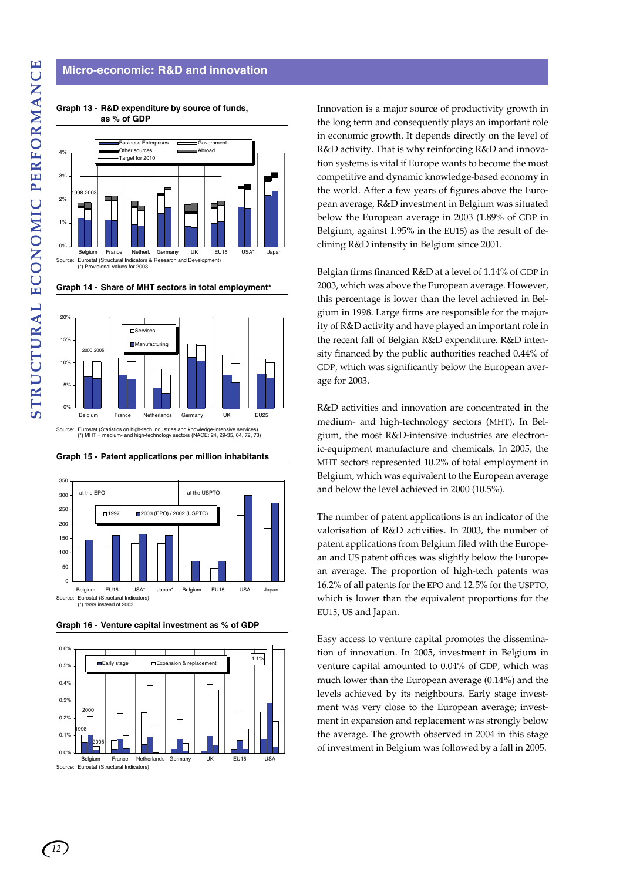# **Micro-economic: R&D and innovation**



**Graph 13 - R&D expenditure by source of funds, as % of GDP**





Source: Eurostat (Statistics on high-tech industries and knowledge-intensive services) (\*) MHT = medium- and high-technology sectors (NACE: 24, 29-35, 64, 72, 73)

**Graph 15 - Patent applications per million inhabitants**







Eurostat (Structural Indicators)

Innovation is a major source of productivity growth in the long term and consequently plays an important role in economic growth. It depends directly on the level of R&D activity. That is why reinforcing R&D and innovation systems is vital if Europe wants to become the most competitive and dynamic knowledge-based economy in the world. After a few years of figures above the European average, R&D investment in Belgium was situated below the European average in 2003 (1.89% of GDP in Belgium, against 1.95% in the EU15) as the result of declining R&D intensity in Belgium since 2001.

Belgian firms financed R&D at a level of 1.14% of GDP in 2003, which was above the European average. However, this percentage is lower than the level achieved in Belgium in 1998. Large firms are responsible for the majority of R&D activity and have played an important role in the recent fall of Belgian R&D expenditure. R&D intensity financed by the public authorities reached 0.44% of GDP, which was significantly below the European average for 2003.

R&D activities and innovation are concentrated in the medium- and high-technology sectors (MHT). In Belgium, the most R&D-intensive industries are electronic-equipment manufacture and chemicals. In 2005, the MHT sectors represented 10.2% of total employment in Belgium, which was equivalent to the European average and below the level achieved in 2000 (10.5%).

The number of patent applications is an indicator of the valorisation of R&D activities. In 2003, the number of patent applications from Belgium filed with the European and US patent offices was slightly below the European average. The proportion of high-tech patents was 16.2% of all patents for the EPO and 12.5% for the USPTO, which is lower than the equivalent proportions for the EU15, US and Japan.

Easy access to venture capital promotes the dissemination of innovation. In 2005, investment in Belgium in venture capital amounted to 0.04% of GDP, which was much lower than the European average (0.14%) and the levels achieved by its neighbours. Early stage investment was very close to the European average; investment in expansion and replacement was strongly below the average. The growth observed in 2004 in this stage of investment in Belgium was followed by a fall in 2005.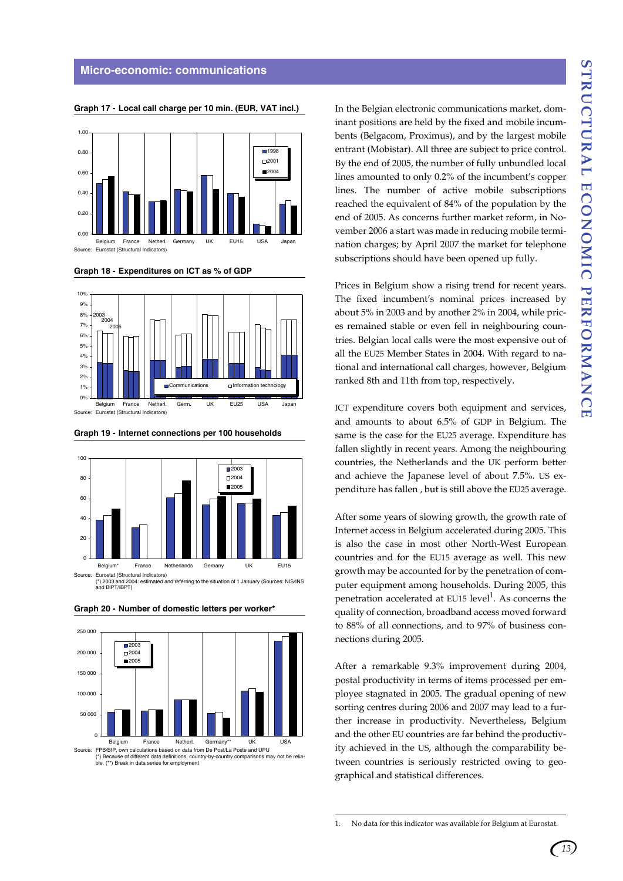

**Graph 17 - Local call charge per 10 min. (EUR, VAT incl.)**

**Graph 18 - Expenditures on ICT as % of GDP**









**Graph 20 - Number of domestic letters per worker\***

Source: FPB/BfP, own calculations based on data from De Post/La Poste and UPU<br>(\*) Because of different data definitions, country-by-country comparisons may not be relia (\*) Because of different data definitions, country-bybecause of unferent data deminions<br>(\*\*) Break in data series for employ

In the Belgian electronic communications market, dominant positions are held by the fixed and mobile incumbents (Belgacom, Proximus), and by the largest mobile entrant (Mobistar). All three are subject to price control. By the end of 2005, the number of fully unbundled local lines amounted to only 0.2% of the incumbent's copper lines. The number of active mobile subscriptions reached the equivalent of 84% of the population by the end of 2005. As concerns further market reform, in November 2006 a start was made in reducing mobile termination charges; by April 2007 the market for telephone subscriptions should have been opened up fully.

Prices in Belgium show a rising trend for recent years. The fixed incumbent's nominal prices increased by about 5% in 2003 and by another 2% in 2004, while prices remained stable or even fell in neighbouring countries. Belgian local calls were the most expensive out of all the EU25 Member States in 2004. With regard to national and international call charges, however, Belgium ranked 8th and 11th from top, respectively.

ICT expenditure covers both equipment and services, and amounts to about 6.5% of GDP in Belgium. The same is the case for the EU25 average. Expenditure has fallen slightly in recent years. Among the neighbouring countries, the Netherlands and the UK perform better and achieve the Japanese level of about 7.5%. US expenditure has fallen , but is still above the EU25 average.

After some years of slowing growth, the growth rate of Internet access in Belgium accelerated during 2005. This is also the case in most other North-West European countries and for the EU15 average as well. This new growth may be accounted for by the penetration of computer equipment among households. During 2005, this penetration accelerated at EU15 level<sup>1</sup>. As concerns the quality of connection, broadband access moved forward to 88% of all connections, and to 97% of business connections during 2005.

After a remarkable 9.3% improvement during 2004, postal productivity in terms of items processed per employee stagnated in 2005. The gradual opening of new sorting centres during 2006 and 2007 may lead to a further increase in productivity. Nevertheless, Belgium and the other EU countries are far behind the productivity achieved in the US, although the comparability between countries is seriously restricted owing to geographical and statistical differences.

<sup>1.</sup> No data for this indicator was available for Belgium at Eurostat.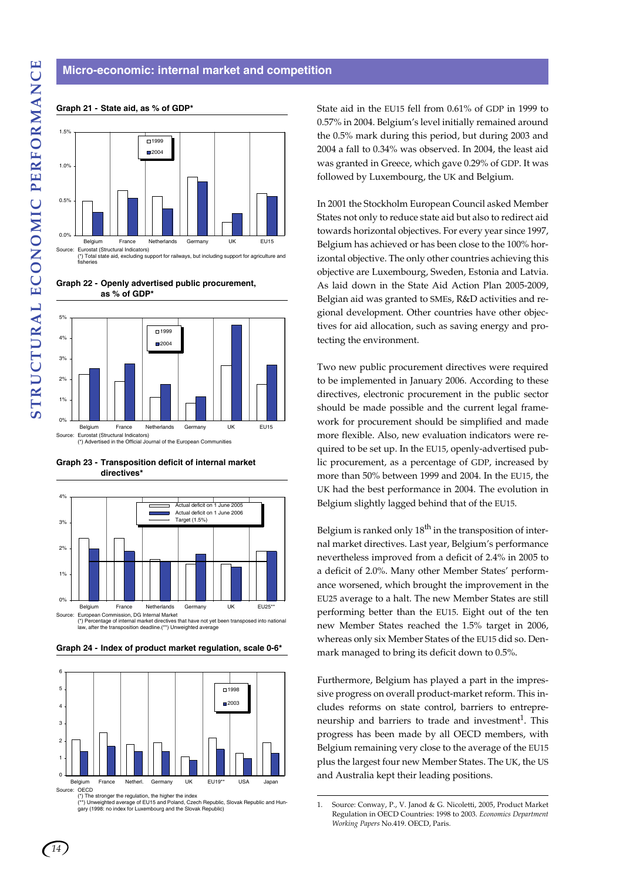#### **Micro-economic: internal market and competition**



**Graph 21 - State aid, as % of GDP\***

**Graph 22 - Openly advertised public procurement, as % of GDP\***



**Graph 23 - Transposition deficit of internal market directives\***



**Graph 24 - Index of product market regulation, scale 0-6\***



(\*) The stronger the regulation, the higher the index<br>(\*\*) Unweighted average of EU15 and Poland, Czech Republic, Slovak Republic and Hun-<br>gary (1998: no index for Luxembourg and the Slovak Republic)

State aid in the EU15 fell from 0.61% of GDP in 1999 to 0.57% in 2004. Belgium's level initially remained around the 0.5% mark during this period, but during 2003 and 2004 a fall to 0.34% was observed. In 2004, the least aid was granted in Greece, which gave 0.29% of GDP. It was followed by Luxembourg, the UK and Belgium.

In 2001 the Stockholm European Council asked Member States not only to reduce state aid but also to redirect aid towards horizontal objectives. For every year since 1997, Belgium has achieved or has been close to the 100% horizontal objective. The only other countries achieving this objective are Luxembourg, Sweden, Estonia and Latvia. As laid down in the State Aid Action Plan 2005-2009, Belgian aid was granted to SMEs, R&D activities and regional development. Other countries have other objectives for aid allocation, such as saving energy and protecting the environment.

Two new public procurement directives were required to be implemented in January 2006. According to these directives, electronic procurement in the public sector should be made possible and the current legal framework for procurement should be simplified and made more flexible. Also, new evaluation indicators were required to be set up. In the EU15, openly-advertised public procurement, as a percentage of GDP, increased by more than 50% between 1999 and 2004. In the EU15, the UK had the best performance in 2004. The evolution in Belgium slightly lagged behind that of the EU15.

Belgium is ranked only  $18^{th}$  in the transposition of internal market directives. Last year, Belgium's performance nevertheless improved from a deficit of 2.4% in 2005 to a deficit of 2.0%. Many other Member States' performance worsened, which brought the improvement in the EU25 average to a halt. The new Member States are still performing better than the EU15. Eight out of the ten new Member States reached the 1.5% target in 2006, whereas only six Member States of the EU15 did so. Denmark managed to bring its deficit down to 0.5%.

Furthermore, Belgium has played a part in the impressive progress on overall product-market reform. This includes reforms on state control, barriers to entrepreneurship and barriers to trade and investment<sup>1</sup>. This progress has been made by all OECD members, with Belgium remaining very close to the average of the EU15 plus the largest four new Member States. The UK, the US and Australia kept their leading positions.

<sup>1.</sup> Source: Conway, P., V. Janod & G. Nicoletti, 2005, Product Market Regulation in OECD Countries: 1998 to 2003. *Economics Department Working Papers* No.419. OECD, Paris.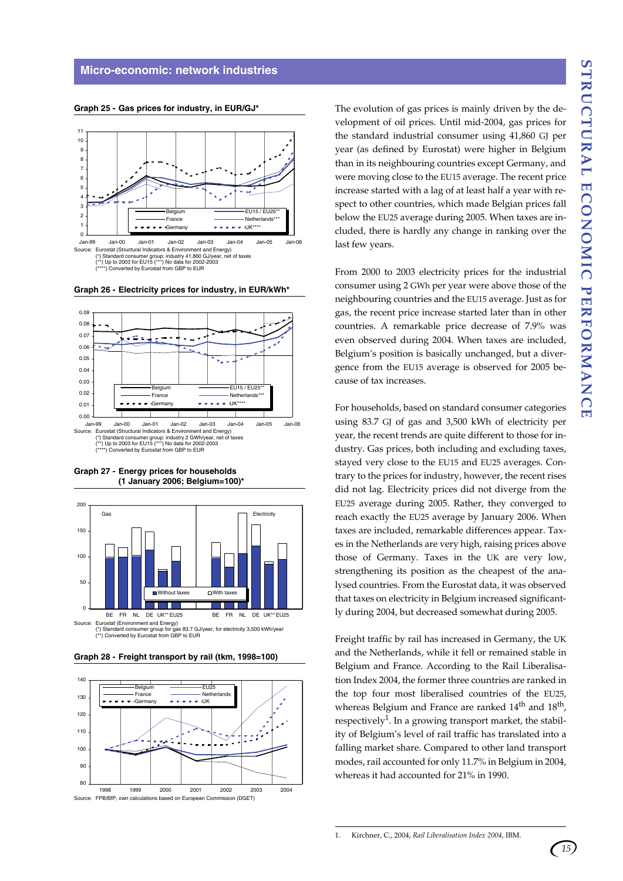**Graph 25 - Gas prices for industry, in EUR/GJ\*** 



**Graph 26 - Electricity prices for industry, in EUR/kWh\*** 



**Graph 27 - Energy prices for households (1 January 2006; Belgium=100)\***



**Graph 28 - Freight transport by rail (tkm, 1998=100)**



The evolution of gas prices is mainly driven by the development of oil prices. Until mid-2004, gas prices for the standard industrial consumer using 41,860 GJ per year (as defined by Eurostat) were higher in Belgium than in its neighbouring countries except Germany, and were moving close to the EU15 average. The recent price increase started with a lag of at least half a year with respect to other countries, which made Belgian prices fall below the EU25 average during 2005. When taxes are included, there is hardly any change in ranking over the last few years.

From 2000 to 2003 electricity prices for the industrial consumer using 2 GWh per year were above those of the neighbouring countries and the EU15 average. Just as for gas, the recent price increase started later than in other countries. A remarkable price decrease of 7.9% was even observed during 2004. When taxes are included, Belgium's position is basically unchanged, but a divergence from the EU15 average is observed for 2005 because of tax increases.

For households, based on standard consumer categories using 83.7 GJ of gas and 3,500 kWh of electricity per year, the recent trends are quite different to those for industry. Gas prices, both including and excluding taxes, stayed very close to the EU15 and EU25 averages. Contrary to the prices for industry, however, the recent rises did not lag. Electricity prices did not diverge from the EU25 average during 2005. Rather, they converged to reach exactly the EU25 average by January 2006. When taxes are included, remarkable differences appear. Taxes in the Netherlands are very high, raising prices above those of Germany. Taxes in the UK are very low, strengthening its position as the cheapest of the analysed countries. From the Eurostat data, it was observed that taxes on electricity in Belgium increased significantly during 2004, but decreased somewhat during 2005.

Freight traffic by rail has increased in Germany, the UK and the Netherlands, while it fell or remained stable in Belgium and France. According to the Rail Liberalisation Index 2004, the former three countries are ranked in the top four most liberalised countries of the EU25, whereas Belgium and France are ranked  $14<sup>th</sup>$  and  $18<sup>th</sup>$ , respectively<sup>1</sup>. In a growing transport market, the stability of Belgium's level of rail traffic has translated into a falling market share. Compared to other land transport modes, rail accounted for only 11.7% in Belgium in 2004, whereas it had accounted for 21% in 1990.

1. Kirchner, C., 2004, *Rail Liberalisation Index 2004*, IBM.

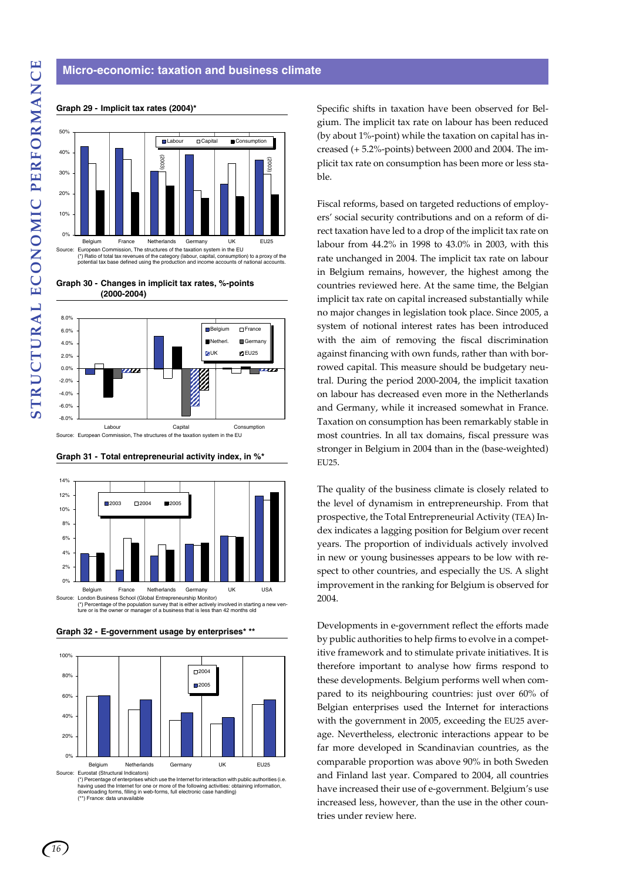#### **Micro-economic: taxation and business climate**



#### **Graph 29 - Implicit tax rates (2004)\***

**Graph 30 - Changes in implicit tax rates, %-points (2000-2004)**



**Graph 31 - Total entrepreneurial activity index, in %\***



**Graph 32 - E-government usage by enterprises\* \*\***



(\*) Percentage of enterprises which use the Internet for interaction with public authorities (i.e. having used the Internet for one or more of the following activities: obtaining information,<br>downloading forms, filling in web-forms, full electronic case handling)<br>(\*\*) France: data unavailable

Specific shifts in taxation have been observed for Belgium. The implicit tax rate on labour has been reduced (by about 1%-point) while the taxation on capital has increased (+ 5.2%-points) between 2000 and 2004. The implicit tax rate on consumption has been more or less stable.

Fiscal reforms, based on targeted reductions of employers' social security contributions and on a reform of direct taxation have led to a drop of the implicit tax rate on labour from 44.2% in 1998 to 43.0% in 2003, with this rate unchanged in 2004. The implicit tax rate on labour in Belgium remains, however, the highest among the countries reviewed here. At the same time, the Belgian implicit tax rate on capital increased substantially while no major changes in legislation took place. Since 2005, a system of notional interest rates has been introduced with the aim of removing the fiscal discrimination against financing with own funds, rather than with borrowed capital. This measure should be budgetary neutral. During the period 2000-2004, the implicit taxation on labour has decreased even more in the Netherlands and Germany, while it increased somewhat in France. Taxation on consumption has been remarkably stable in most countries. In all tax domains, fiscal pressure was stronger in Belgium in 2004 than in the (base-weighted) EU25.

The quality of the business climate is closely related to the level of dynamism in entrepreneurship. From that prospective, the Total Entrepreneurial Activity (TEA) Index indicates a lagging position for Belgium over recent years. The proportion of individuals actively involved in new or young businesses appears to be low with respect to other countries, and especially the US. A slight improvement in the ranking for Belgium is observed for 2004.

Developments in e-government reflect the efforts made by public authorities to help firms to evolve in a competitive framework and to stimulate private initiatives. It is therefore important to analyse how firms respond to these developments. Belgium performs well when compared to its neighbouring countries: just over 60% of Belgian enterprises used the Internet for interactions with the government in 2005, exceeding the EU25 average. Nevertheless, electronic interactions appear to be far more developed in Scandinavian countries, as the comparable proportion was above 90% in both Sweden and Finland last year. Compared to 2004, all countries have increased their use of e-government. Belgium's use increased less, however, than the use in the other countries under review here.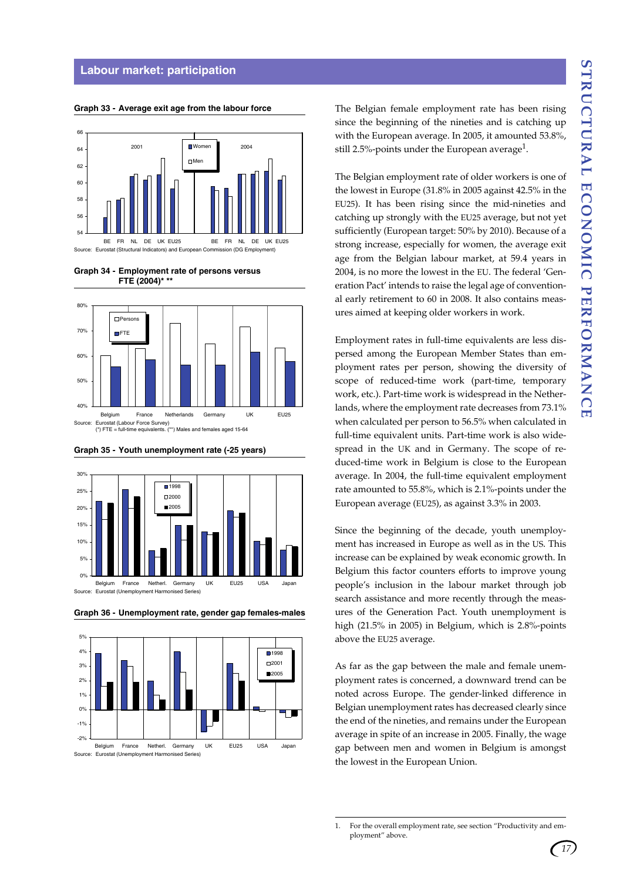#### **Labour market: participation**

**Graph 33 - Average exit age from the labour force**



**Graph 34 - Employment rate of persons versus FTE (2004)\* \*\***





**Graph 35 - Youth unemployment rate (-25 years)**





**Graph 36 - Unemployment rate, gender gap females-males**

Source: Eurostat (Unemployment Harmonised Series) Belgium France Netherl. Germany UK EU25 USA Japan The Belgian female employment rate has been rising since the beginning of the nineties and is catching up with the European average. In 2005, it amounted 53.8%, still 2.5%-points under the European average<sup>1</sup>.

The Belgian employment rate of older workers is one of the lowest in Europe (31.8% in 2005 against 42.5% in the EU25). It has been rising since the mid-nineties and catching up strongly with the EU25 average, but not yet sufficiently (European target: 50% by 2010). Because of a strong increase, especially for women, the average exit age from the Belgian labour market, at 59.4 years in 2004, is no more the lowest in the EU. The federal 'Generation Pact' intends to raise the legal age of conventional early retirement to 60 in 2008. It also contains measures aimed at keeping older workers in work.

Employment rates in full-time equivalents are less dispersed among the European Member States than employment rates per person, showing the diversity of scope of reduced-time work (part-time, temporary work, etc.). Part-time work is widespread in the Netherlands, where the employment rate decreases from 73.1% when calculated per person to 56.5% when calculated in full-time equivalent units. Part-time work is also widespread in the UK and in Germany. The scope of reduced-time work in Belgium is close to the European average. In 2004, the full-time equivalent employment rate amounted to 55.8%, which is 2.1%-points under the European average (EU25), as against 3.3% in 2003.

Since the beginning of the decade, youth unemployment has increased in Europe as well as in the US. This increase can be explained by weak economic growth. In Belgium this factor counters efforts to improve young people's inclusion in the labour market through job search assistance and more recently through the measures of the Generation Pact. Youth unemployment is high (21.5% in 2005) in Belgium, which is 2.8%-points above the EU25 average.

As far as the gap between the male and female unemployment rates is concerned, a downward trend can be noted across Europe. The gender-linked difference in Belgian unemployment rates has decreased clearly since the end of the nineties, and remains under the European average in spite of an increase in 2005. Finally, the wage gap between men and women in Belgium is amongst the lowest in the European Union.

<sup>1.</sup> For the overall employment rate, see section "Productivity and employment" above.

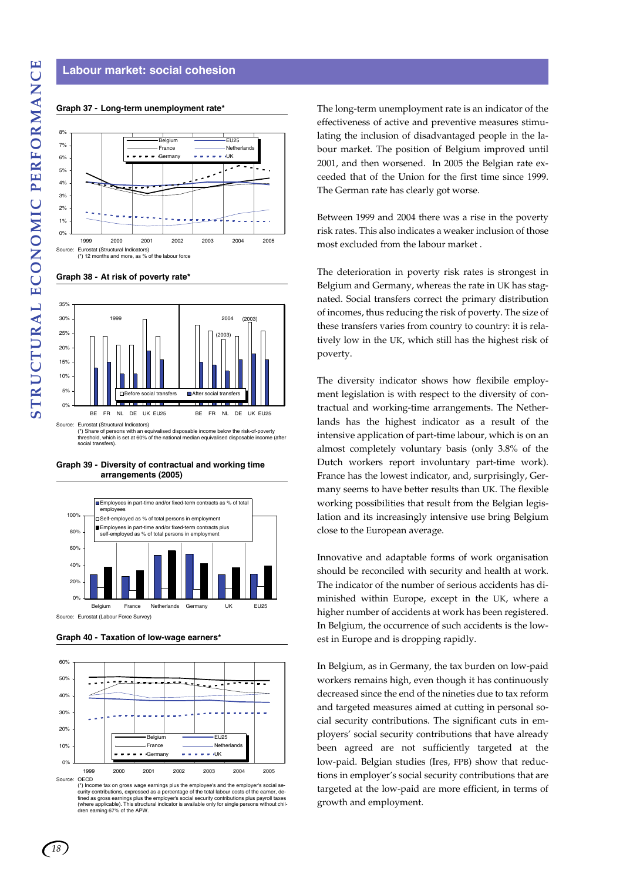#### **Labour market: social cohesion**

#### **Graph 37 - Long-term unemployment rate\***







**Graph 39 - Diversity of contractual and working time arrangements (2005)**



Source: Eurostat (Labour Force Survey)





The long-term unemployment rate is an indicator of the effectiveness of active and preventive measures stimulating the inclusion of disadvantaged people in the labour market. The position of Belgium improved until 2001, and then worsened. In 2005 the Belgian rate exceeded that of the Union for the first time since 1999. The German rate has clearly got worse.

Between 1999 and 2004 there was a rise in the poverty risk rates. This also indicates a weaker inclusion of those most excluded from the labour market .

The deterioration in poverty risk rates is strongest in Belgium and Germany, whereas the rate in UK has stagnated. Social transfers correct the primary distribution of incomes, thus reducing the risk of poverty. The size of these transfers varies from country to country: it is relatively low in the UK, which still has the highest risk of poverty.

The diversity indicator shows how flexibile employment legislation is with respect to the diversity of contractual and working-time arrangements. The Netherlands has the highest indicator as a result of the intensive application of part-time labour, which is on an almost completely voluntary basis (only 3.8% of the Dutch workers report involuntary part-time work). France has the lowest indicator, and, surprisingly, Germany seems to have better results than UK. The flexible working possibilities that result from the Belgian legislation and its increasingly intensive use bring Belgium close to the European average.

Innovative and adaptable forms of work organisation should be reconciled with security and health at work. The indicator of the number of serious accidents has diminished within Europe, except in the UK, where a higher number of accidents at work has been registered. In Belgium, the occurrence of such accidents is the lowest in Europe and is dropping rapidly.

In Belgium, as in Germany, the tax burden on low-paid workers remains high, even though it has continuously decreased since the end of the nineties due to tax reform and targeted measures aimed at cutting in personal social security contributions. The significant cuts in employers' social security contributions that have already been agreed are not sufficiently targeted at the low-paid. Belgian studies (Ires, FPB) show that reductions in employer's social security contributions that are targeted at the low-paid are more efficient, in terms of growth and employment.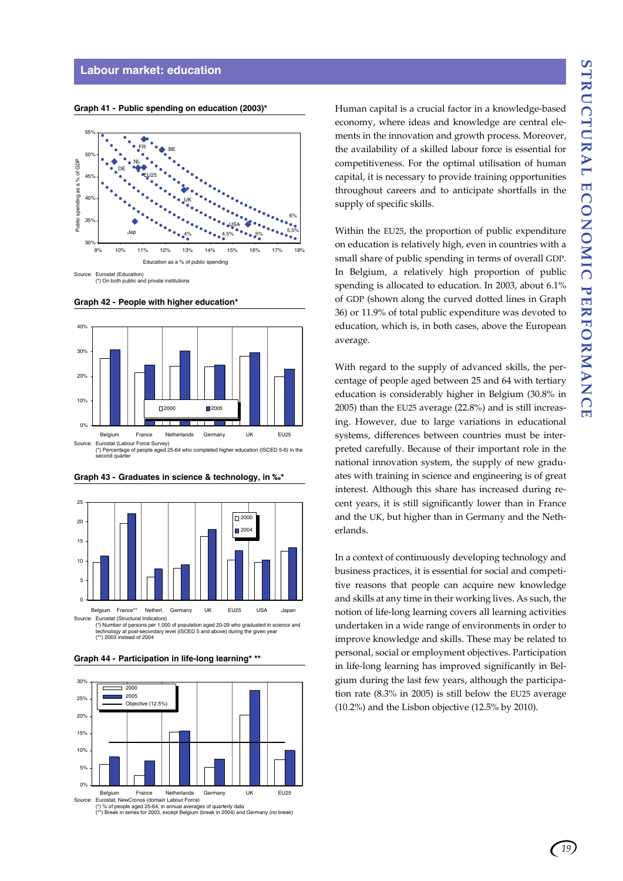#### **Labour market: education**



**Graph 41 - Public spending on education (2003)\***

**Graph 42 - People with higher education\***





#### **Graph 43 - Graduates in science & technology, in ‰\***

(\*) Number of persons per 1,000 of population aged 20-29 who graduated in science and technology at post-secondary level (ISCED 5 and above) during the given year technology at post-secon<br>(\*\*) 2003 instead of 2004

**Graph 44 - Participation in life-long learning\* \*\***



(\*) % of people aged 25-64, in annual averages of quarterly data (\*\*) Break in series for 2003, except Belgium (break in 2004) and Germany (no break)

Human capital is a crucial factor in a knowledge-based economy, where ideas and knowledge are central elements in the innovation and growth process. Moreover, the availability of a skilled labour force is essential for competitiveness. For the optimal utilisation of human capital, it is necessary to provide training opportunities throughout careers and to anticipate shortfalls in the supply of specific skills.

Within the EU25, the proportion of public expenditure on education is relatively high, even in countries with a small share of public spending in terms of overall GDP. In Belgium, a relatively high proportion of public spending is allocated to education. In 2003, about 6.1% of GDP (shown along the curved dotted lines in Graph 36) or 11.9% of total public expenditure was devoted to education, which is, in both cases, above the European average.

With regard to the supply of advanced skills, the percentage of people aged between 25 and 64 with tertiary education is considerably higher in Belgium (30.8% in 2005) than the EU25 average (22.8%) and is still increasing. However, due to large variations in educational systems, differences between countries must be interpreted carefully. Because of their important role in the national innovation system, the supply of new graduates with training in science and engineering is of great interest. Although this share has increased during recent years, it is still significantly lower than in France and the UK, but higher than in Germany and the Netherlands.

In a context of continuously developing technology and business practices, it is essential for social and competitive reasons that people can acquire new knowledge and skills at any time in their working lives. As such, the notion of life-long learning covers all learning activities undertaken in a wide range of environments in order to improve knowledge and skills. These may be related to personal, social or employment objectives. Participation in life-long learning has improved significantly in Belgium during the last few years, although the participation rate (8.3% in 2005) is still below the EU25 average (10.2%) and the Lisbon objective (12.5% by 2010).

*19*

<sup>(\*)</sup> On both public and private institutions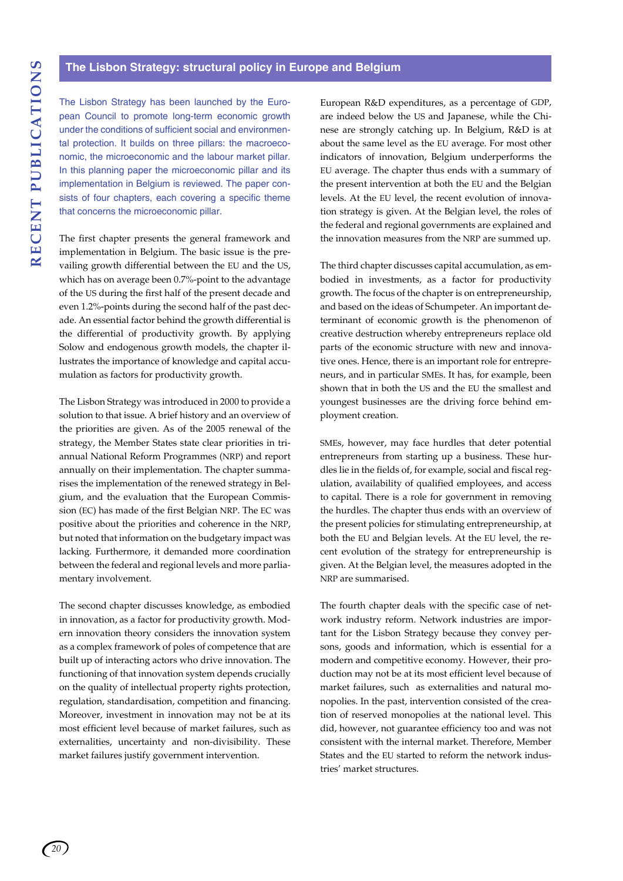The Lisbon Strategy has been launched by the European Council to promote long-term economic growth under the conditions of sufficient social and environmental protection. It builds on three pillars: the macroeconomic, the microeconomic and the labour market pillar. In this planning paper the microeconomic pillar and its implementation in Belgium is reviewed. The paper consists of four chapters, each covering a specific theme that concerns the microeconomic pillar.

The first chapter presents the general framework and implementation in Belgium. The basic issue is the prevailing growth differential between the EU and the US, which has on average been 0.7%-point to the advantage of the US during the first half of the present decade and even 1.2%-points during the second half of the past decade. An essential factor behind the growth differential is the differential of productivity growth. By applying Solow and endogenous growth models, the chapter illustrates the importance of knowledge and capital accumulation as factors for productivity growth.

The Lisbon Strategy was introduced in 2000 to provide a solution to that issue. A brief history and an overview of the priorities are given. As of the 2005 renewal of the strategy, the Member States state clear priorities in triannual National Reform Programmes (NRP) and report annually on their implementation. The chapter summarises the implementation of the renewed strategy in Belgium, and the evaluation that the European Commission (EC) has made of the first Belgian NRP. The EC was positive about the priorities and coherence in the NRP, but noted that information on the budgetary impact was lacking. Furthermore, it demanded more coordination between the federal and regional levels and more parliamentary involvement.

The second chapter discusses knowledge, as embodied in innovation, as a factor for productivity growth. Modern innovation theory considers the innovation system as a complex framework of poles of competence that are built up of interacting actors who drive innovation. The functioning of that innovation system depends crucially on the quality of intellectual property rights protection, regulation, standardisation, competition and financing. Moreover, investment in innovation may not be at its most efficient level because of market failures, such as externalities, uncertainty and non-divisibility. These market failures justify government intervention.

European R&D expenditures, as a percentage of GDP, are indeed below the US and Japanese, while the Chinese are strongly catching up. In Belgium, R&D is at about the same level as the EU average. For most other indicators of innovation, Belgium underperforms the EU average. The chapter thus ends with a summary of the present intervention at both the EU and the Belgian levels. At the EU level, the recent evolution of innovation strategy is given. At the Belgian level, the roles of the federal and regional governments are explained and the innovation measures from the NRP are summed up.

The third chapter discusses capital accumulation, as embodied in investments, as a factor for productivity growth. The focus of the chapter is on entrepreneurship, and based on the ideas of Schumpeter. An important determinant of economic growth is the phenomenon of creative destruction whereby entrepreneurs replace old parts of the economic structure with new and innovative ones. Hence, there is an important role for entrepreneurs, and in particular SMEs. It has, for example, been shown that in both the US and the EU the smallest and youngest businesses are the driving force behind employment creation.

SMEs, however, may face hurdles that deter potential entrepreneurs from starting up a business. These hurdles lie in the fields of, for example, social and fiscal regulation, availability of qualified employees, and access to capital. There is a role for government in removing the hurdles. The chapter thus ends with an overview of the present policies for stimulating entrepreneurship, at both the EU and Belgian levels. At the EU level, the recent evolution of the strategy for entrepreneurship is given. At the Belgian level, the measures adopted in the NRP are summarised.

The fourth chapter deals with the specific case of network industry reform. Network industries are important for the Lisbon Strategy because they convey persons, goods and information, which is essential for a modern and competitive economy. However, their production may not be at its most efficient level because of market failures, such as externalities and natural monopolies. In the past, intervention consisted of the creation of reserved monopolies at the national level. This did, however, not guarantee efficiency too and was not consistent with the internal market. Therefore, Member States and the EU started to reform the network industries' market structures.

*20*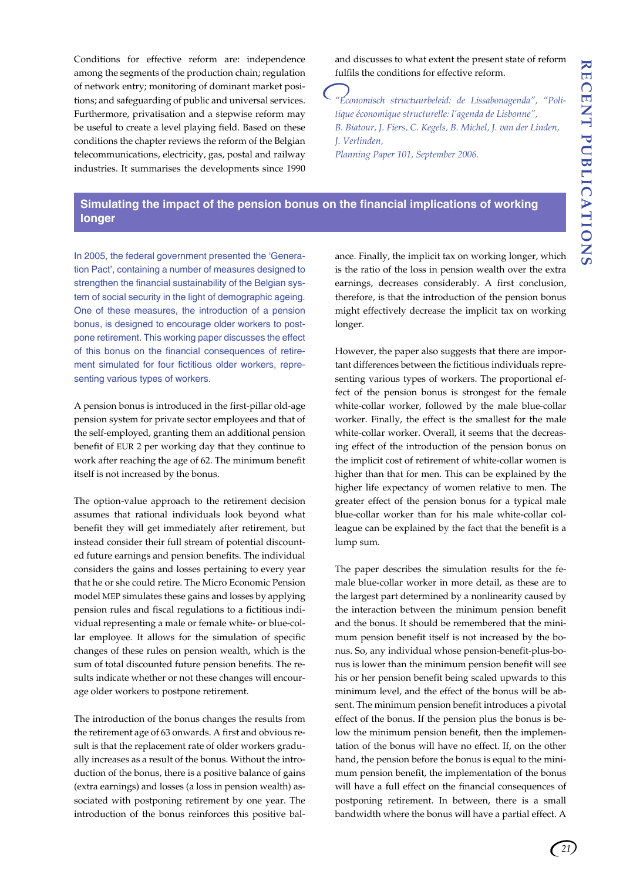Conditions for effective reform are: independence among the segments of the production chain; regulation of network entry; monitoring of dominant market positions; and safeguarding of public and universal services. Furthermore, privatisation and a stepwise reform may be useful to create a level playing field. Based on these conditions the chapter reviews the reform of the Belgian telecommunications, electricity, gas, postal and railway industries. It summarises the developments since 1990

and discusses to what extent the present state of reform fulfils the conditions for effective reform.

*"Economisch structuurbeleid: de Lissabonagenda", "Politique économique structurelle: l'agenda de Lisbonne", B. Biatour, J. Fiers, C. Kegels, B. Michel, J. van der Linden, J. Verlinden, Planning Paper 101, September 2006.*

# **Simulating the impact of the pension bonus on the financial implications of working longer**

In 2005, the federal government presented the 'Generation Pact', containing a number of measures designed to strengthen the financial sustainability of the Belgian system of social security in the light of demographic ageing. One of these measures, the introduction of a pension bonus, is designed to encourage older workers to postpone retirement. This working paper discusses the effect of this bonus on the financial consequences of retirement simulated for four fictitious older workers, representing various types of workers.

A pension bonus is introduced in the first-pillar old-age pension system for private sector employees and that of the self-employed, granting them an additional pension benefit of EUR 2 per working day that they continue to work after reaching the age of 62. The minimum benefit itself is not increased by the bonus.

The option-value approach to the retirement decision assumes that rational individuals look beyond what benefit they will get immediately after retirement, but instead consider their full stream of potential discounted future earnings and pension benefits. The individual considers the gains and losses pertaining to every year that he or she could retire. The Micro Economic Pension model MEP simulates these gains and losses by applying pension rules and fiscal regulations to a fictitious individual representing a male or female white- or blue-collar employee. It allows for the simulation of specific changes of these rules on pension wealth, which is the sum of total discounted future pension benefits. The results indicate whether or not these changes will encourage older workers to postpone retirement.

The introduction of the bonus changes the results from the retirement age of 63 onwards. A first and obvious result is that the replacement rate of older workers gradually increases as a result of the bonus. Without the introduction of the bonus, there is a positive balance of gains (extra earnings) and losses (a loss in pension wealth) associated with postponing retirement by one year. The introduction of the bonus reinforces this positive balance. Finally, the implicit tax on working longer, which is the ratio of the loss in pension wealth over the extra earnings, decreases considerably. A first conclusion, therefore, is that the introduction of the pension bonus might effectively decrease the implicit tax on working longer.

However, the paper also suggests that there are important differences between the fictitious individuals representing various types of workers. The proportional effect of the pension bonus is strongest for the female white-collar worker, followed by the male blue-collar worker. Finally, the effect is the smallest for the male white-collar worker. Overall, it seems that the decreasing effect of the introduction of the pension bonus on the implicit cost of retirement of white-collar women is higher than that for men. This can be explained by the higher life expectancy of women relative to men. The greater effect of the pension bonus for a typical male blue-collar worker than for his male white-collar colleague can be explained by the fact that the benefit is a lump sum.

The paper describes the simulation results for the female blue-collar worker in more detail, as these are to the largest part determined by a nonlinearity caused by the interaction between the minimum pension benefit and the bonus. It should be remembered that the minimum pension benefit itself is not increased by the bonus. So, any individual whose pension-benefit-plus-bonus is lower than the minimum pension benefit will see his or her pension benefit being scaled upwards to this minimum level, and the effect of the bonus will be absent. The minimum pension benefit introduces a pivotal effect of the bonus. If the pension plus the bonus is below the minimum pension benefit, then the implementation of the bonus will have no effect. If, on the other hand, the pension before the bonus is equal to the minimum pension benefit, the implementation of the bonus will have a full effect on the financial consequences of postponing retirement. In between, there is a small bandwidth where the bonus will have a partial effect. A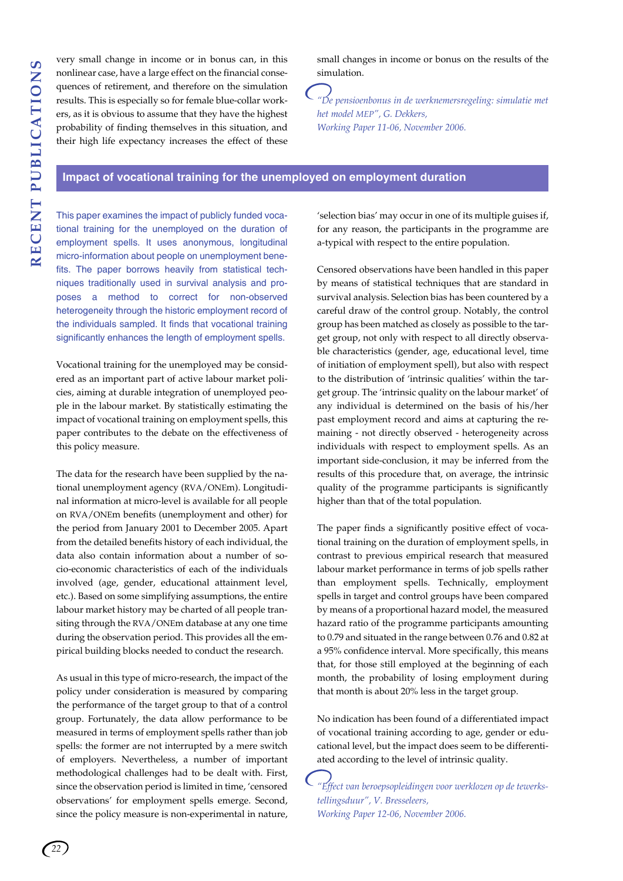very small change in income or in bonus can, in this nonlinear case, have a large effect on the financial consequences of retirement, and therefore on the simulation results. This is especially so for female blue-collar workers, as it is obvious to assume that they have the highest probability of finding themselves in this situation, and their high life expectancy increases the effect of these small changes in income or bonus on the results of the simulation.

*"De pensioenbonus in de werknemersregeling: simulatie met het model MEP", G. Dekkers, Working Paper 11-06, November 2006.*

# **Impact of vocational training for the unemployed on employment duration**

This paper examines the impact of publicly funded vocational training for the unemployed on the duration of employment spells. It uses anonymous, longitudinal micro-information about people on unemployment benefits. The paper borrows heavily from statistical techniques traditionally used in survival analysis and proposes a method to correct for non-observed heterogeneity through the historic employment record of the individuals sampled. It finds that vocational training significantly enhances the length of employment spells.

Vocational training for the unemployed may be considered as an important part of active labour market policies, aiming at durable integration of unemployed people in the labour market. By statistically estimating the impact of vocational training on employment spells, this paper contributes to the debate on the effectiveness of this policy measure.

The data for the research have been supplied by the national unemployment agency (RVA/ONEm). Longitudinal information at micro-level is available for all people on RVA/ONEm benefits (unemployment and other) for the period from January 2001 to December 2005. Apart from the detailed benefits history of each individual, the data also contain information about a number of socio-economic characteristics of each of the individuals involved (age, gender, educational attainment level, etc.). Based on some simplifying assumptions, the entire labour market history may be charted of all people transiting through the RVA/ONEm database at any one time during the observation period. This provides all the empirical building blocks needed to conduct the research.

As usual in this type of micro-research, the impact of the policy under consideration is measured by comparing the performance of the target group to that of a control group. Fortunately, the data allow performance to be measured in terms of employment spells rather than job spells: the former are not interrupted by a mere switch of employers. Nevertheless, a number of important methodological challenges had to be dealt with. First, since the observation period is limited in time, 'censored observations' for employment spells emerge. Second, since the policy measure is non-experimental in nature, 'selection bias' may occur in one of its multiple guises if, for any reason, the participants in the programme are a-typical with respect to the entire population.

Censored observations have been handled in this paper by means of statistical techniques that are standard in survival analysis. Selection bias has been countered by a careful draw of the control group. Notably, the control group has been matched as closely as possible to the target group, not only with respect to all directly observable characteristics (gender, age, educational level, time of initiation of employment spell), but also with respect to the distribution of 'intrinsic qualities' within the target group. The 'intrinsic quality on the labour market' of any individual is determined on the basis of his/her past employment record and aims at capturing the remaining - not directly observed - heterogeneity across individuals with respect to employment spells. As an important side-conclusion, it may be inferred from the results of this procedure that, on average, the intrinsic quality of the programme participants is significantly higher than that of the total population.

The paper finds a significantly positive effect of vocational training on the duration of employment spells, in contrast to previous empirical research that measured labour market performance in terms of job spells rather than employment spells. Technically, employment spells in target and control groups have been compared by means of a proportional hazard model, the measured hazard ratio of the programme participants amounting to 0.79 and situated in the range between 0.76 and 0.82 at a 95% confidence interval. More specifically, this means that, for those still employed at the beginning of each month, the probability of losing employment during that month is about 20% less in the target group.

No indication has been found of a differentiated impact of vocational training according to age, gender or educational level, but the impact does seem to be differentiated according to the level of intrinsic quality.

*"Effect van beroepsopleidingen voor werklozen op de tewerkstellingsduur", V. Bresseleers, Working Paper 12-06, November 2006.*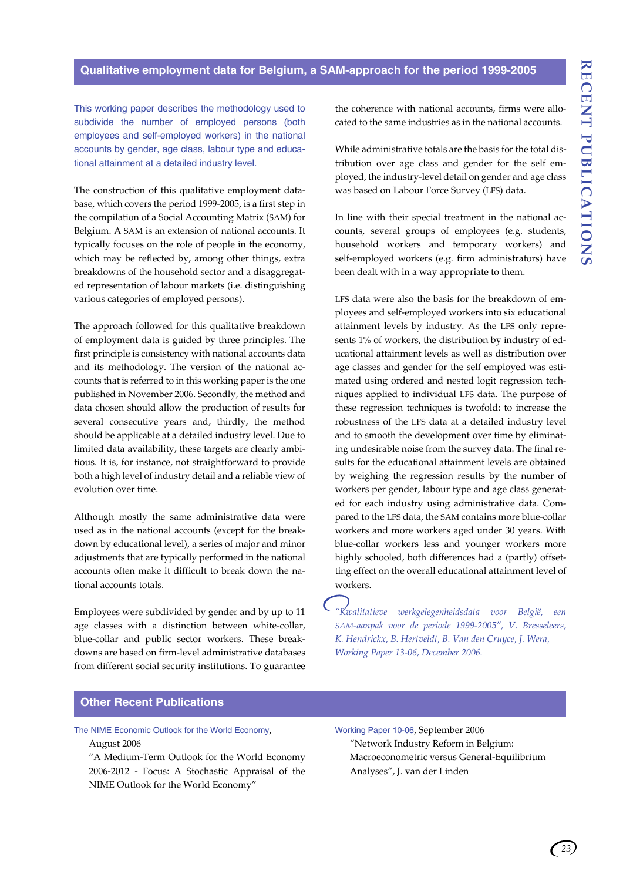# **Qualitative employment data for Belgium, a SAM-approach for the period 1999-2005**

This working paper describes the methodology used to subdivide the number of employed persons (both employees and self-employed workers) in the national accounts by gender, age class, labour type and educational attainment at a detailed industry level.

The construction of this qualitative employment database, which covers the period 1999-2005, is a first step in the compilation of a Social Accounting Matrix (SAM) for Belgium. A SAM is an extension of national accounts. It typically focuses on the role of people in the economy, which may be reflected by, among other things, extra breakdowns of the household sector and a disaggregated representation of labour markets (i.e. distinguishing various categories of employed persons).

The approach followed for this qualitative breakdown of employment data is guided by three principles. The first principle is consistency with national accounts data and its methodology. The version of the national accounts that is referred to in this working paper is the one published in November 2006. Secondly, the method and data chosen should allow the production of results for several consecutive years and, thirdly, the method should be applicable at a detailed industry level. Due to limited data availability, these targets are clearly ambitious. It is, for instance, not straightforward to provide both a high level of industry detail and a reliable view of evolution over time.

Although mostly the same administrative data were used as in the national accounts (except for the breakdown by educational level), a series of major and minor adjustments that are typically performed in the national accounts often make it difficult to break down the national accounts totals.

Employees were subdivided by gender and by up to 11 age classes with a distinction between white-collar, blue-collar and public sector workers. These breakdowns are based on firm-level administrative databases from different social security institutions. To guarantee the coherence with national accounts, firms were allocated to the same industries as in the national accounts.

While administrative totals are the basis for the total distribution over age class and gender for the self employed, the industry-level detail on gender and age class was based on Labour Force Survey (LFS) data.

In line with their special treatment in the national accounts, several groups of employees (e.g. students, household workers and temporary workers) and self-employed workers (e.g. firm administrators) have been dealt with in a way appropriate to them.

LFS data were also the basis for the breakdown of employees and self-employed workers into six educational attainment levels by industry. As the LFS only represents 1% of workers, the distribution by industry of educational attainment levels as well as distribution over age classes and gender for the self employed was estimated using ordered and nested logit regression techniques applied to individual LFS data. The purpose of these regression techniques is twofold: to increase the robustness of the LFS data at a detailed industry level and to smooth the development over time by eliminating undesirable noise from the survey data. The final results for the educational attainment levels are obtained by weighing the regression results by the number of workers per gender, labour type and age class generated for each industry using administrative data. Compared to the LFS data, the SAM contains more blue-collar workers and more workers aged under 30 years. With blue-collar workers less and younger workers more highly schooled, both differences had a (partly) offsetting effect on the overall educational attainment level of workers.

*"Kwalitatieve werkgelegenheidsdata voor België, een SAM-aanpak voor de periode 1999-2005", V. Bresseleers, K. Hendrickx, B. Hertveldt, B. Van den Cruyce, J. Wera, Working Paper 13-06, December 2006.*

# **Other Recent Publications**

The NIME Economic Outlook for the World Economy, August 2006

"A Medium-Term Outlook for the World Economy 2006-2012 - Focus: A Stochastic Appraisal of the NIME Outlook for the World Economy"

Working Paper 10-06, September 2006 "Network Industry Reform in Belgium: Macroeconometric versus General-Equilibrium Analyses", J. van der Linden